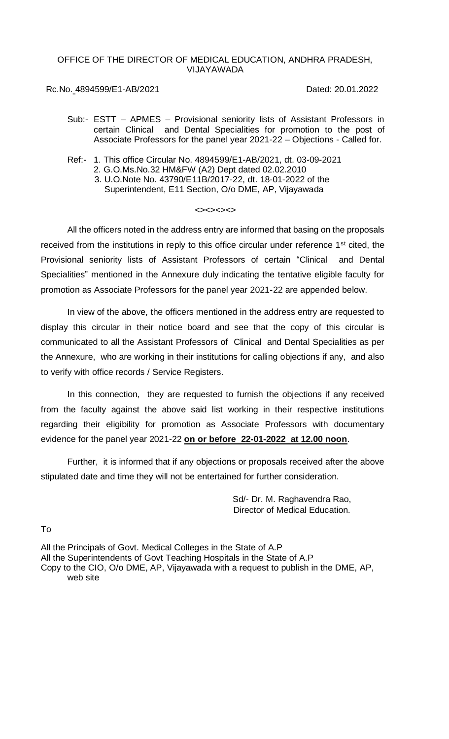# OFFICE OF THE DIRECTOR OF MEDICAL EDUCATION, ANDHRA PRADESH, VIJAYAWADA

Rc.No. 4894599/E1-AB/2021 Dated: 20.01.2022

- Sub:- ESTT APMES Provisional seniority lists of Assistant Professors in certain Clinical and Dental Specialities for promotion to the post of Associate Professors for the panel year 2021-22 – Objections - Called for.
- Ref:- 1. This office Circular No. 4894599/E1-AB/2021, dt. 03-09-2021 2. G.O.Ms.No.32 HM&FW (A2) Dept dated 02.02.2010 3. U.O.Note No. 43790/E11B/2017-22, dt. 18-01-2022 of the Superintendent, E11 Section, O/o DME, AP, Vijayawada

# <><><><>

All the officers noted in the address entry are informed that basing on the proposals received from the institutions in reply to this office circular under reference  $1<sup>st</sup>$  cited, the Provisional seniority lists of Assistant Professors of certain "Clinical and Dental Specialities" mentioned in the Annexure duly indicating the tentative eligible faculty for promotion as Associate Professors for the panel year 2021-22 are appended below.

In view of the above, the officers mentioned in the address entry are requested to display this circular in their notice board and see that the copy of this circular is communicated to all the Assistant Professors of Clinical and Dental Specialities as per the Annexure, who are working in their institutions for calling objections if any, and also to verify with office records / Service Registers.

In this connection, they are requested to furnish the objections if any received from the faculty against the above said list working in their respective institutions regarding their eligibility for promotion as Associate Professors with documentary evidence for the panel year 2021-22 **on or before 22-01-2022 at 12.00 noon**.

Further, it is informed that if any objections or proposals received after the above stipulated date and time they will not be entertained for further consideration.

> Sd/- Dr. M. Raghavendra Rao, Director of Medical Education.

To

All the Principals of Govt. Medical Colleges in the State of A.P All the Superintendents of Govt Teaching Hospitals in the State of A.P Copy to the CIO, O/o DME, AP, Vijayawada with a request to publish in the DME, AP, web site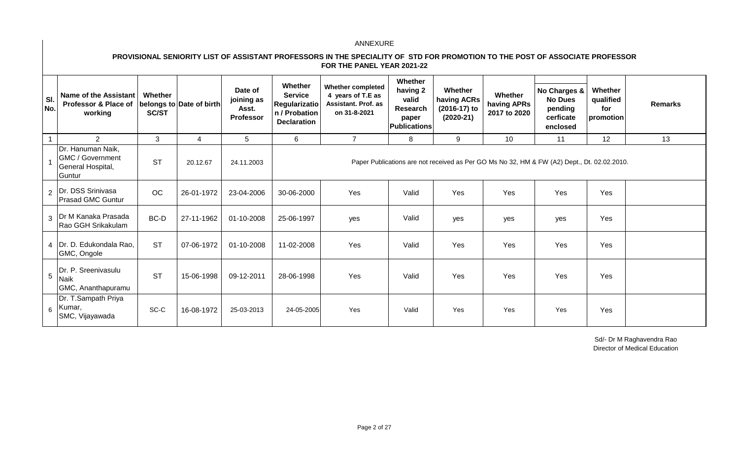# **PROVISIONAL SENIORITY LIST OF ASSISTANT PROFESSORS IN THE SPECIALITY OF STD FOR PROMOTION TO THE POST OF ASSOCIATE PROFESSOR FOR THE PANEL YEAR 2021-22**

| SI.<br>No. | <b>Name of the Assistant</b><br>Professor & Place of   belongs to   Date of birth <br>working | Whether<br>SC/ST |            | Date of<br>joining as<br>Asst.<br>Professor | Whether<br><b>Service</b><br><b>Regularizatio</b><br>n / Probation<br><b>Declaration</b> | <b>Whether completed</b><br>4 years of T.E as<br><b>Assistant. Prof. as</b><br>on 31-8-2021 | Whether<br>having 2<br>valid<br>Research<br>paper<br>Publications | Whether<br>having ACRs<br>(2016-17) to<br>$(2020-21)$ | Whether<br>having APRs<br>2017 to 2020 | No Charges &<br><b>No Dues</b><br>pending<br>cerficate<br>enclosed                          | Whether<br>qualified<br>for<br>promotion | <b>Remarks</b> |
|------------|-----------------------------------------------------------------------------------------------|------------------|------------|---------------------------------------------|------------------------------------------------------------------------------------------|---------------------------------------------------------------------------------------------|-------------------------------------------------------------------|-------------------------------------------------------|----------------------------------------|---------------------------------------------------------------------------------------------|------------------------------------------|----------------|
|            | $\overline{2}$                                                                                | 3                | 4          | 5                                           | 6                                                                                        | $\overline{7}$                                                                              | 8                                                                 | 9                                                     | 10                                     | 11                                                                                          | 12                                       | 13             |
|            | Dr. Hanuman Naik,<br><b>GMC / Government</b><br>General Hospital,<br>Guntur                   | <b>ST</b>        | 20.12.67   | 24.11.2003                                  |                                                                                          |                                                                                             |                                                                   |                                                       |                                        | Paper Publications are not received as Per GO Ms No 32, HM & FW (A2) Dept., Dt. 02.02.2010. |                                          |                |
|            | 2   Dr. DSS Srinivasa<br><b>Prasad GMC Guntur</b>                                             | <b>OC</b>        | 26-01-1972 | 23-04-2006                                  | 30-06-2000                                                                               | Yes                                                                                         | Valid                                                             | Yes                                                   | Yes                                    | Yes                                                                                         | Yes                                      |                |
|            | 3   Dr M Kanaka Prasada<br>Rao GGH Srikakulam                                                 | BC-D             | 27-11-1962 | 01-10-2008                                  | 25-06-1997                                                                               | yes                                                                                         | Valid                                                             | yes                                                   | yes                                    | yes                                                                                         | Yes                                      |                |
|            | 4   Dr. D. Edukondala Rao,<br>GMC, Ongole                                                     | <b>ST</b>        | 07-06-1972 | 01-10-2008                                  | 11-02-2008                                                                               | Yes                                                                                         | Valid                                                             | Yes                                                   | Yes                                    | Yes                                                                                         | Yes                                      |                |
| 5          | Dr. P. Sreenivasulu<br>Naik<br>GMC, Ananthapuramu                                             | <b>ST</b>        | 15-06-1998 | 09-12-2011                                  | 28-06-1998                                                                               | Yes                                                                                         | Valid                                                             | Yes                                                   | Yes                                    | Yes                                                                                         | Yes                                      |                |
| 6          | Dr. T.Sampath Priya<br>Kumar,<br>SMC, Vijayawada                                              | SC-C             | 16-08-1972 | 25-03-2013                                  | 24-05-2005                                                                               | Yes                                                                                         | Valid                                                             | Yes                                                   | Yes                                    | Yes                                                                                         | Yes                                      |                |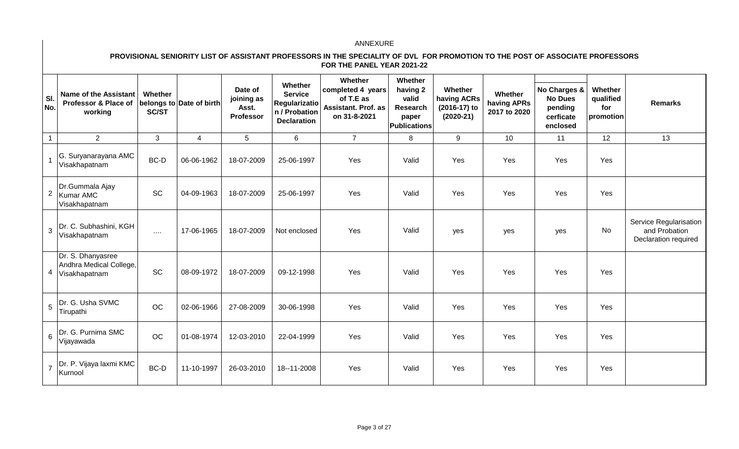# **PROVISIONAL SENIORITY LIST OF ASSISTANT PROFESSORS IN THE SPECIALITY OF DVL FOR PROMOTION TO THE POST OF ASSOCIATE PROFESSORS FOR THE PANEL YEAR 2021-22**

| SI.<br>No. | <b>Name of the Assistant</b><br>Professor & Place of<br>working | Whether<br><b>SC/ST</b> | belongs to Date of birth | Date of<br>joining as<br>Asst.<br>Professor | Whether<br><b>Service</b><br>Regularizatio<br>n / Probation<br><b>Declaration</b> | Whether<br>completed 4 years<br>of T.E as<br>Assistant. Prof. as<br>on 31-8-2021 | Whether<br>having 2<br>valid<br>Research<br>paper<br><b>Publications</b> | Whether<br>having ACRs<br>(2016-17) to<br>$(2020-21)$ | Whether<br>having APRs<br>2017 to 2020 | No Charges &<br><b>No Dues</b><br>pending<br>cerficate<br>enclosed | Whether<br>qualified<br>for<br>promotion | <b>Remarks</b>                                                  |
|------------|-----------------------------------------------------------------|-------------------------|--------------------------|---------------------------------------------|-----------------------------------------------------------------------------------|----------------------------------------------------------------------------------|--------------------------------------------------------------------------|-------------------------------------------------------|----------------------------------------|--------------------------------------------------------------------|------------------------------------------|-----------------------------------------------------------------|
|            | $\overline{2}$                                                  | 3                       | $\overline{4}$           | 5                                           | 6                                                                                 | $\overline{7}$                                                                   | 8                                                                        | 9                                                     | 10                                     | 11                                                                 | 12                                       | 13                                                              |
|            | G. Suryanarayana AMC<br>Visakhapatnam                           | BC-D                    | 06-06-1962               | 18-07-2009                                  | 25-06-1997                                                                        | Yes                                                                              | Valid                                                                    | Yes                                                   | Yes                                    | Yes                                                                | Yes                                      |                                                                 |
|            | Dr.Gummala Ajay<br>2 Kumar AMC<br>Visakhapatnam                 | <b>SC</b>               | 04-09-1963               | 18-07-2009                                  | 25-06-1997                                                                        | Yes                                                                              | Valid                                                                    | Yes                                                   | Yes                                    | Yes                                                                | Yes                                      |                                                                 |
| 3          | Dr. C. Subhashini, KGH<br>Visakhapatnam                         | $\cdots$ .              | 17-06-1965               | 18-07-2009                                  | Not enclosed                                                                      | Yes                                                                              | Valid                                                                    | yes                                                   | yes                                    | yes                                                                | <b>No</b>                                | Service Regularisation<br>and Probation<br>Declaration required |
| 4          | Dr. S. Dhanyasree<br>Andhra Medical College,<br>Visakhapatnam   | <b>SC</b>               | 08-09-1972               | 18-07-2009                                  | 09-12-1998                                                                        | Yes                                                                              | Valid                                                                    | Yes                                                   | Yes                                    | Yes                                                                | Yes                                      |                                                                 |
| 5          | Dr. G. Usha SVMC<br>Tirupathi                                   | OC                      | 02-06-1966               | 27-08-2009                                  | 30-06-1998                                                                        | Yes                                                                              | Valid                                                                    | Yes                                                   | Yes                                    | Yes                                                                | Yes                                      |                                                                 |
| 6          | Dr. G. Purnima SMC<br>Vijayawada                                | <b>OC</b>               | 01-08-1974               | 12-03-2010                                  | 22-04-1999                                                                        | Yes                                                                              | Valid                                                                    | Yes                                                   | Yes                                    | Yes                                                                | Yes                                      |                                                                 |
|            | Dr. P. Vijaya laxmi KMC<br>Kurnool                              | BC-D                    | 11-10-1997               | 26-03-2010                                  | 18--11-2008                                                                       | Yes                                                                              | Valid                                                                    | Yes                                                   | Yes                                    | Yes                                                                | Yes                                      |                                                                 |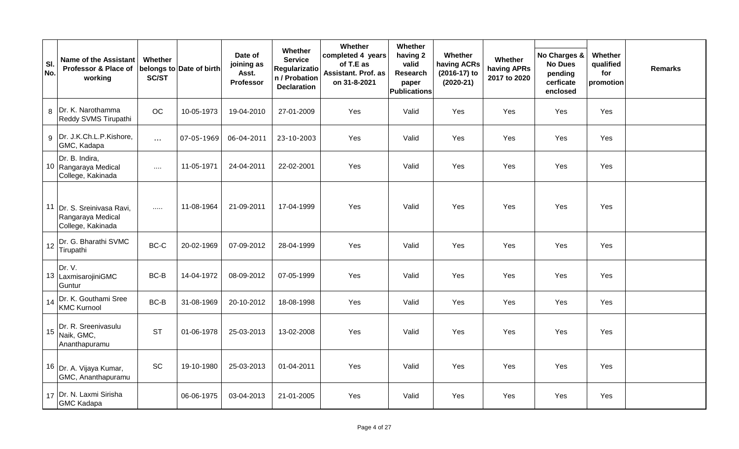| SI.<br>No. | <b>Name of the Assistant</b><br>Professor & Place of<br>working      | Whether<br>SC/ST | belongs to Date of birth | Date of<br>joining as<br>Asst.<br>Professor | Whether<br><b>Service</b><br>Regularizatio<br>n / Probation<br><b>Declaration</b> | Whether<br>completed 4 years<br>of T.E as<br>Assistant. Prof. as<br>on 31-8-2021 | Whether<br>having 2<br>valid<br>Research<br>paper<br><b>Publications</b> | Whether<br>having ACRs<br>(2016-17) to<br>$(2020-21)$ | Whether<br>having APRs<br>2017 to 2020 | No Charges &<br><b>No Dues</b><br>pending<br>cerficate<br>enclosed | Whether<br>qualified<br>for<br>promotion | <b>Remarks</b> |
|------------|----------------------------------------------------------------------|------------------|--------------------------|---------------------------------------------|-----------------------------------------------------------------------------------|----------------------------------------------------------------------------------|--------------------------------------------------------------------------|-------------------------------------------------------|----------------------------------------|--------------------------------------------------------------------|------------------------------------------|----------------|
|            | 8   Dr. K. Narothamma<br>Reddy SVMS Tirupathi                        | OC               | 10-05-1973               | 19-04-2010                                  | 27-01-2009                                                                        | Yes                                                                              | Valid                                                                    | Yes                                                   | Yes                                    | Yes                                                                | Yes                                      |                |
|            | 9 Dr. J.K.Ch.L.P.Kishore,<br>GMC, Kadapa                             | $\ldots$         | 07-05-1969               | 06-04-2011                                  | 23-10-2003                                                                        | Yes                                                                              | Valid                                                                    | Yes                                                   | Yes                                    | Yes                                                                | Yes                                      |                |
|            | Dr. B. Indira,<br>10 Rangaraya Medical<br>College, Kakinada          | $\sim$ . $\sim$  | 11-05-1971               | 24-04-2011                                  | 22-02-2001                                                                        | Yes                                                                              | Valid                                                                    | Yes                                                   | Yes                                    | Yes                                                                | Yes                                      |                |
|            | 11 Dr. S. Sreinivasa Ravi,<br>Rangaraya Medical<br>College, Kakinada | $\dots$          | 11-08-1964               | 21-09-2011                                  | 17-04-1999                                                                        | Yes                                                                              | Valid                                                                    | Yes                                                   | Yes                                    | Yes                                                                | Yes                                      |                |
|            | 12 Dr. G. Bharathi SVMC<br>Tirupathi                                 | BC-C             | 20-02-1969               | 07-09-2012                                  | 28-04-1999                                                                        | Yes                                                                              | Valid                                                                    | Yes                                                   | Yes                                    | Yes                                                                | Yes                                      |                |
|            | Dr. V.<br>13 LaxmisarojiniGMC<br>Guntur                              | BC-B             | 14-04-1972               | 08-09-2012                                  | 07-05-1999                                                                        | Yes                                                                              | Valid                                                                    | Yes                                                   | Yes                                    | <b>Yes</b>                                                         | Yes                                      |                |
|            | 14   Dr. K. Gouthami Sree<br><b>KMC Kurnool</b>                      | BC-B             | 31-08-1969               | 20-10-2012                                  | 18-08-1998                                                                        | Yes                                                                              | Valid                                                                    | Yes                                                   | Yes                                    | Yes                                                                | Yes                                      |                |
| 15         | Dr. R. Sreenivasulu<br>Naik, GMC,<br>Ananthapuramu                   | <b>ST</b>        | 01-06-1978               | 25-03-2013                                  | 13-02-2008                                                                        | Yes                                                                              | Valid                                                                    | Yes                                                   | Yes                                    | Yes                                                                | Yes                                      |                |
|            | 16 Dr. A. Vijaya Kumar,<br>GMC, Ananthapuramu                        | SC               | 19-10-1980               | 25-03-2013                                  | 01-04-2011                                                                        | Yes                                                                              | Valid                                                                    | Yes                                                   | Yes                                    | Yes                                                                | Yes                                      |                |
|            | 17 Dr. N. Laxmi Sirisha<br><b>GMC Kadapa</b>                         |                  | 06-06-1975               | 03-04-2013                                  | 21-01-2005                                                                        | Yes                                                                              | Valid                                                                    | Yes                                                   | Yes                                    | Yes                                                                | Yes                                      |                |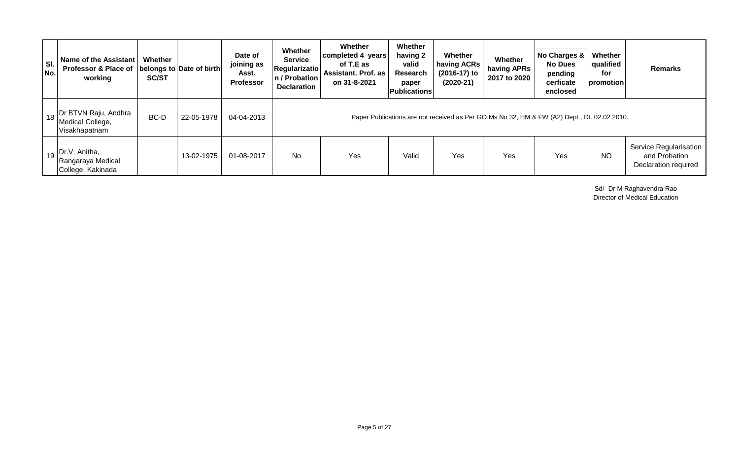| SI.<br>No. | Name of the Assistant<br>Professor & Place of   belongs to Date of birth <br>working           | Whether<br><b>SC/ST</b> |            | Date of<br>joining as<br>Asst.<br><b>Professor</b> | Whether<br><b>Service</b><br><b>Regularizatio</b><br>n / Probation<br><b>Declaration</b>    | Whether<br>completed 4 years<br>of T.E as<br><b>Assistant. Prof. as</b><br>on 31-8-2021 | Whether<br>having 2<br>valid<br>Research<br>paper<br><b>Publications</b> | Whether<br>having ACRs<br>(2016-17) to<br>$(2020-21)$ | Whether<br>having APRs<br>2017 to 2020 | No Charges &<br><b>No Dues</b><br>pending<br>cerficate<br>enclosed | Whether<br>qualified<br>for<br>promotion | <b>Remarks</b>                                                  |  |  |
|------------|------------------------------------------------------------------------------------------------|-------------------------|------------|----------------------------------------------------|---------------------------------------------------------------------------------------------|-----------------------------------------------------------------------------------------|--------------------------------------------------------------------------|-------------------------------------------------------|----------------------------------------|--------------------------------------------------------------------|------------------------------------------|-----------------------------------------------------------------|--|--|
|            | 1 <sub>18</sub> Dr BTVN Raju, Andhra<br>Medical College,<br>Visakhapatnam                      | BC-D                    | 22-05-1978 | 04-04-2013                                         | Paper Publications are not received as Per GO Ms No 32, HM & FW (A2) Dept., Dt. 02.02.2010. |                                                                                         |                                                                          |                                                       |                                        |                                                                    |                                          |                                                                 |  |  |
|            | $\begin{bmatrix} 1 & 19 \end{bmatrix}$ Dr.V. Anitha,<br>Rangaraya Medical<br>College, Kakinada |                         | 13-02-1975 | 01-08-2017                                         | No                                                                                          | Yes                                                                                     | Valid                                                                    | Yes                                                   | Yes                                    | Yes                                                                | NO.                                      | Service Regularisation<br>and Probation<br>Declaration required |  |  |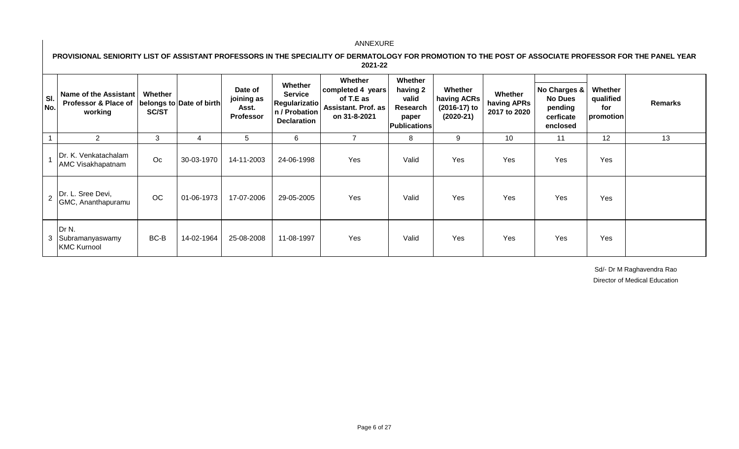**PROVISIONAL SENIORITY LIST OF ASSISTANT PROFESSORS IN THE SPECIALITY OF DERMATOLOGY FOR PROMOTION TO THE POST OF ASSOCIATE PROFESSOR FOR THE PANEL YEAR 2021-22** 

| SI.<br>No. | Name of the Assistant<br>Professor & Place of<br>working                      | Whether<br><b>SC/ST</b> | belongs to Date of birth | Date of<br>joining as<br>Asst.<br>Professor | <b>Whether</b><br><b>Service</b><br><b>Regularizatio</b><br>n / Probation<br><b>Declaration</b> | Whether<br>completed 4 years<br>of T.E as<br><b>Assistant. Prof. as</b><br>on 31-8-2021 | Whether<br>having 2<br>valid<br>Research<br>paper<br><b>Publications</b> | Whether<br>having ACRs<br>(2016-17) to<br>$(2020-21)$ | Whether<br>having APRs<br>2017 to 2020 | No Charges &<br><b>No Dues</b><br>pending<br>cerficate<br>enclosed | Whether<br>qualified<br>for<br>promotion | <b>Remarks</b> |
|------------|-------------------------------------------------------------------------------|-------------------------|--------------------------|---------------------------------------------|-------------------------------------------------------------------------------------------------|-----------------------------------------------------------------------------------------|--------------------------------------------------------------------------|-------------------------------------------------------|----------------------------------------|--------------------------------------------------------------------|------------------------------------------|----------------|
|            | $\overline{2}$                                                                | 3                       | 4                        | 5                                           | 6                                                                                               |                                                                                         | 8                                                                        | 9                                                     | 10                                     | 11                                                                 | 12                                       | 13             |
|            | Dr. K. Venkatachalam<br>AMC Visakhapatnam                                     | Oc                      | 30-03-1970               | 14-11-2003                                  | 24-06-1998                                                                                      | Yes                                                                                     | Valid                                                                    | Yes                                                   | Yes                                    | Yes                                                                | Yes                                      |                |
|            | $\begin{bmatrix} 1 & 2 \end{bmatrix}$ Dr. L. Sree Devi,<br>GMC, Ananthapuramu | OC                      | 01-06-1973               | 17-07-2006                                  | 29-05-2005                                                                                      | Yes                                                                                     | Valid                                                                    | Yes                                                   | Yes                                    | Yes                                                                | <b>Yes</b>                               |                |
|            | Dr N.<br>3 Subramanyaswamy<br><b>KMC Kurnool</b>                              | BC-B                    | 14-02-1964               | 25-08-2008                                  | 11-08-1997                                                                                      | Yes                                                                                     | Valid                                                                    | Yes                                                   | Yes                                    | Yes                                                                | Yes                                      |                |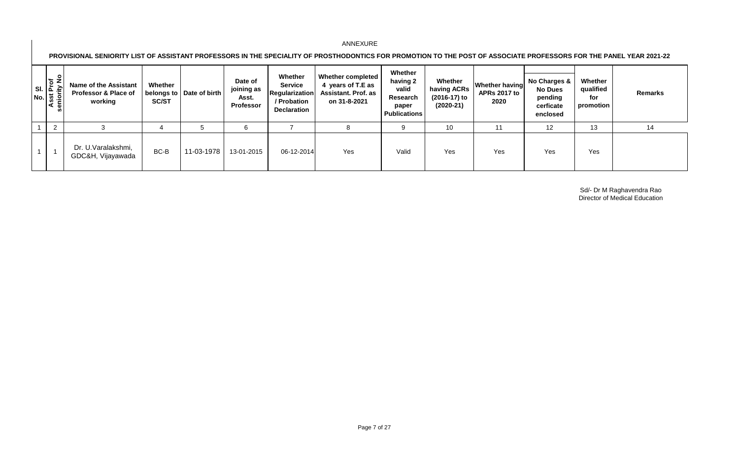**PROVISIONAL SENIORITY LIST OF ASSISTANT PROFESSORS IN THE SPECIALITY OF PROSTHODONTICS FOR PROMOTION TO THE POST OF ASSOCIATE PROFESSORS FOR THE PANEL YEAR 2021-22** 

| <b>P</b><br><b>S</b><br>Asst Prof<br>Asst Prof<br>eniority No | <b>Name of the Assistant</b><br>Professor & Place of<br>working | Whether<br><b>SC/ST</b> | belongs to   Date of birth | Date of<br>joining as<br>Asst.<br><b>Professor</b> | Whether<br><b>Service</b><br><b>Regularization</b><br>/ Probation<br><b>Declaration</b> | Whether completed<br>4 years of T.E as<br><b>Assistant. Prof. as</b><br>on 31-8-2021 | Whether<br>having 2<br>valid<br>Research<br>paper<br><b>Publications</b> | Whether<br>having ACRs<br>(2016-17) to<br>(2020-21) | <b>Whether having</b><br><b>APRs 2017 to</b><br>2020 | No Charges &<br><b>No Dues</b><br>pending<br>cerficate<br>enclosed | Whether<br>qualified<br>for<br>promotion | Remarks |
|---------------------------------------------------------------|-----------------------------------------------------------------|-------------------------|----------------------------|----------------------------------------------------|-----------------------------------------------------------------------------------------|--------------------------------------------------------------------------------------|--------------------------------------------------------------------------|-----------------------------------------------------|------------------------------------------------------|--------------------------------------------------------------------|------------------------------------------|---------|
| 2                                                             |                                                                 |                         |                            | 6                                                  |                                                                                         |                                                                                      |                                                                          | 10                                                  | 11                                                   | $12 \overline{ }$                                                  | 13                                       | 14      |
|                                                               | Dr. U.Varalakshmi,<br>GDC&H, Vijayawada                         | BC-B                    | 11-03-1978                 | 13-01-2015                                         | 06-12-2014                                                                              | Yes                                                                                  | Valid                                                                    | Yes                                                 | Yes                                                  | Yes                                                                | Yes                                      |         |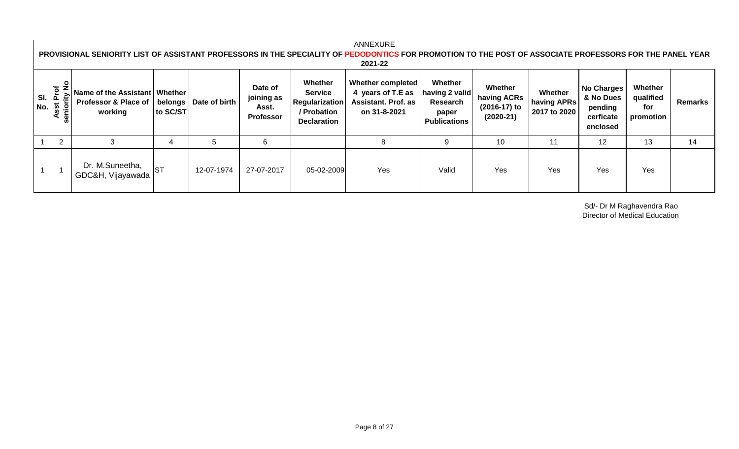#### **No Charges & No Dues pending cerficate enclosed** 1 | 2 | 2 | 3 | 4 | 5 | 6 | 1 | 8 | 9 | 10 | 11 | 12 | 13 | 14 1 1 Dr. M.Suneetha, Dr. M. Garlocand, ST | 12-07-1974 | 27-07-2017 | 05-02-2009 | Yes | Valid | Yes | Yes | Yes | Yes | Yes<br>GDC&H, Vijayawada | ST | 12-07-1974 | 27-07-2017 | 05-02-2009 | Yes | Valid | Yes | Yes | Yes | Yes **Date of joining as Asst. Professor Whether Service Regularization / Probation Declaration Whether completed 4 years of T.E as Assistant. Prof. as on 31-8-2021 Whether**  having 2 valid **Research paper Publications Whether having ACRs (2016-17) to (2020-21) Whether having APRs 2017 to 2020 Whether qualified for promotion Remarks** ANNEXURE **PROVISIONAL SENIORITY LIST OF ASSISTANT PROFESSORS IN THE SPECIALITY OF PEDODONTICS FOR PROMOTION TO THE POST OF ASSOCIATE PROFESSORS FOR THE PANEL YEAR 2021-22 Sl. No. Asst Prof seniority No Name of the Assistant Whether Professor & Place of working belongs to SC/ST Date of birth**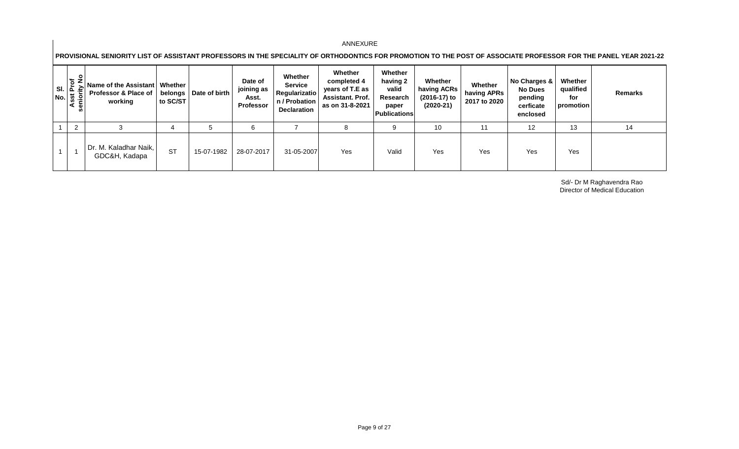**PROVISIONAL SENIORITY LIST OF ASSISTANT PROFESSORS IN THE SPECIALITY OF ORTHODONTICS FOR PROMOTION TO THE POST OF ASSOCIATE PROFESSOR FOR THE PANEL YEAR 2021-22** 

| $\frac{1}{2}$<br>৳<br>≧<br>$\begin{array}{c} \n\overline{\mathsf{No}}. \\ \hline\n\overline{\mathsf{Asst}}\n\end{array}$ | Name of the Assistant   Whether<br><b>Professor &amp; Place of</b><br>working | belongs<br>to SC/ST | Date of birth | Date of<br>joining as<br>Asst.<br>Professor | Whether<br><b>Service</b><br>Regularizatio<br>n / Probation<br><b>Declaration</b> | Whether<br>completed 4<br>years of T.E as<br><b>Assistant. Prof.</b><br>as on 31-8-2021 | Whether<br>having 2<br>valid<br>Research<br>paper<br><b>Publications</b> | Whether<br>having ACRs<br>(2016-17) to<br>$(2020-21)$ | Whether<br>having APRs<br>2017 to 2020 | No Charges &<br><b>No Dues</b><br>pending<br>cerficate<br>enclosed | Whether<br>qualified<br>for<br>promotion | Remarks |
|--------------------------------------------------------------------------------------------------------------------------|-------------------------------------------------------------------------------|---------------------|---------------|---------------------------------------------|-----------------------------------------------------------------------------------|-----------------------------------------------------------------------------------------|--------------------------------------------------------------------------|-------------------------------------------------------|----------------------------------------|--------------------------------------------------------------------|------------------------------------------|---------|
| ົ                                                                                                                        |                                                                               |                     |               | 6                                           |                                                                                   | 8                                                                                       | -9                                                                       | 10                                                    |                                        | 12                                                                 | 13                                       | 14      |
|                                                                                                                          | Dr. M. Kaladhar Naik,<br>GDC&H, Kadapa                                        | <b>ST</b>           | 15-07-1982    | 28-07-2017                                  | 31-05-2007                                                                        | Yes                                                                                     | Valid                                                                    | Yes                                                   | Yes                                    | Yes                                                                | Yes                                      |         |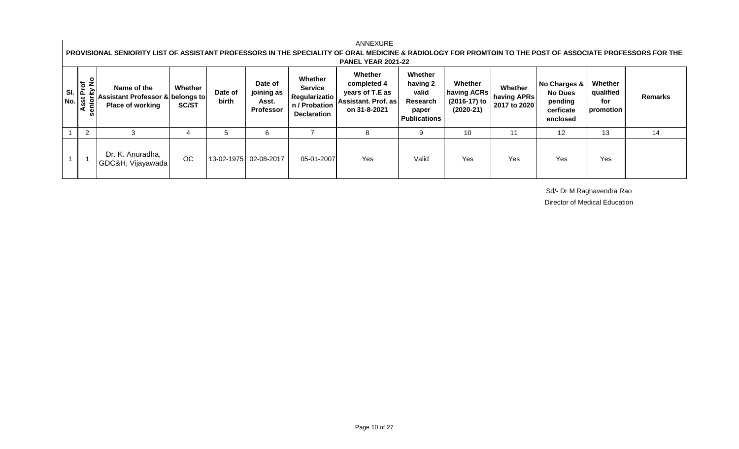#### **No Charges & No Dues pending cerficate enclosed** 1 | 2 | 3 | 4 | 5 | 6 | 7 | 8 | 9 | 10 | 11 | 12 | 13 | 14 1 1 Dr. K. Anuradha, UDI (Windiadand, OC 13-02-1975 02-08-2017 05-01-2007 Yes Valid Yes Yes Yes Yes Yes Yes Yes<br>GDC&H, Vijayawada OC 13-02-1975 02-08-2017 05-01-2007 Yes Yes Valid Yes Yes Yes **Whether Service Regularizatio n / Probation Declaration Whether completed 4 years of T.E as Assistant. Prof. as on 31-8-2021 Whether having 2 valid Research paper Publications Whether having ACRs (2016-17) to (2020-21) Whether having APRs 2017 to 2020 Whether qualified for promotion Remarks** ANNEXURE **PROVISIONAL SENIORITY LIST OF ASSISTANT PROFESSORS IN THE SPECIALITY OF ORAL MEDICINE & RADIOLOGY FOR PROMTOIN TO THE POST OF ASSOCIATE PROFESSORS FOR THE PANEL YEAR 2021-22 Sl. No. Asst Prof seniority No Name of the Assistant Professor & belongs to Place of working Whether SC/ST Date of birth Date of joining as Asst. Professor**

Sd/- Dr M Raghavendra Rao

Director of Medical Education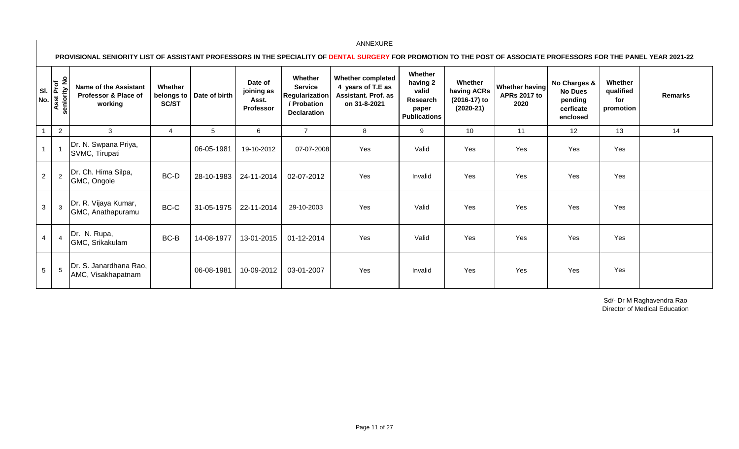**PROVISIONAL SENIORITY LIST OF ASSISTANT PROFESSORS IN THE SPECIALITY OF DENTAL SURGERY FOR PROMOTION TO THE POST OF ASSOCIATE PROFESSORS FOR THE PANEL YEAR 2021-22** 

| SI.<br>No.     | $\frac{1}{2}$<br>Asst Prof<br>enior<br>ō. | <b>Name of the Assistant</b><br>Professor & Place of<br>working | Whether<br>belongs to<br><b>SC/ST</b> | Date of birth | Date of<br>joining as<br>Asst.<br><b>Professor</b> | Whether<br><b>Service</b><br><b>Regularization</b><br>/ Probation<br><b>Declaration</b> | <b>Whether completed</b><br>4 years of T.E as<br>Assistant. Prof. as<br>on 31-8-2021 | Whether<br>having 2<br>valid<br>Research<br>paper<br><b>Publications</b> | Whether<br>having ACRs<br>(2016-17) to<br>$(2020-21)$ | <b>Whether having</b><br><b>APRs 2017 to</b><br>2020 | No Charges &<br><b>No Dues</b><br>pending<br>cerficate<br>enclosed | Whether<br>qualified<br>for<br>promotion | <b>Remarks</b> |
|----------------|-------------------------------------------|-----------------------------------------------------------------|---------------------------------------|---------------|----------------------------------------------------|-----------------------------------------------------------------------------------------|--------------------------------------------------------------------------------------|--------------------------------------------------------------------------|-------------------------------------------------------|------------------------------------------------------|--------------------------------------------------------------------|------------------------------------------|----------------|
|                | $\overline{2}$                            | 3                                                               | 4                                     | 5             | 6                                                  | $\overline{7}$                                                                          | 8                                                                                    | 9                                                                        | 10                                                    | 11                                                   | 12                                                                 | 13                                       | 14             |
| $\overline{A}$ | $\overline{1}$                            | Dr. N. Swpana Priya,<br>SVMC, Tirupati                          |                                       | 06-05-1981    | 19-10-2012                                         | 07-07-2008                                                                              | Yes                                                                                  | Valid                                                                    | Yes                                                   | Yes                                                  | Yes                                                                | Yes                                      |                |
| $\overline{2}$ | 2                                         | Dr. Ch. Hima Silpa,<br>GMC, Ongole                              | BC-D                                  | 28-10-1983    | 24-11-2014                                         | 02-07-2012                                                                              | Yes                                                                                  | Invalid                                                                  | Yes                                                   | Yes                                                  | Yes                                                                | Yes                                      |                |
| 3              | $\mathbf{3}$                              | Dr. R. Vijaya Kumar,<br>GMC, Anathapuramu                       | BC-C                                  | 31-05-1975    | 22-11-2014                                         | 29-10-2003                                                                              | Yes                                                                                  | Valid                                                                    | Yes                                                   | Yes                                                  | Yes                                                                | Yes                                      |                |
| $\overline{4}$ | $\overline{4}$                            | Dr. N. Rupa,<br>GMC, Srikakulam                                 | BC-B                                  | 14-08-1977    | 13-01-2015                                         | 01-12-2014                                                                              | Yes                                                                                  | Valid                                                                    | Yes                                                   | Yes                                                  | Yes                                                                | Yes                                      |                |
| 5 <sup>5</sup> | $5\phantom{.0}$                           | Dr. S. Janardhana Rao,<br>AMC, Visakhapatnam                    |                                       | 06-08-1981    | 10-09-2012                                         | 03-01-2007                                                                              | Yes                                                                                  | Invalid                                                                  | Yes                                                   | Yes                                                  | Yes                                                                | Yes                                      |                |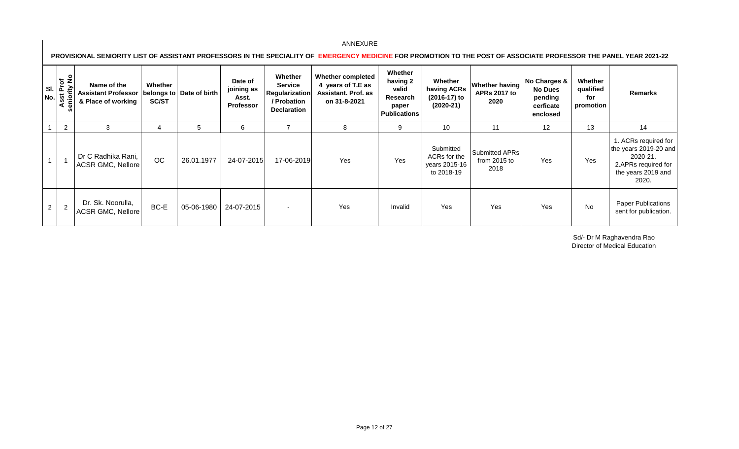**PROVISIONAL SENIORITY LIST OF ASSISTANT PROFESSORS IN THE SPECIALITY OF EMERGENCY MEDICINE FOR PROMOTION TO THE POST OF ASSOCIATE PROFESSOR THE PANEL YEAR 2021-22** 

| $N$ o. $\frac{17}{9}$ | SI. $\frac{5}{4}$<br>$\frac{1}{2}$<br>ä | Name of the<br><b>Assistant Professor</b><br>& Place of working | Whether<br><b>SC/ST</b> | belongs to Date of birth | Date of<br>joining as<br>Asst.<br><b>Professor</b> | Whether<br><b>Service</b><br>Regularization<br>/ Probation<br><b>Declaration</b> | <b>Whether completed</b><br>4 years of T.E as<br><b>Assistant. Prof. as</b><br>on 31-8-2021 | Whether<br>having 2<br>valid<br>Research<br>paper<br><b>Publications</b> | Whether<br>having ACRs<br>(2016-17) to<br>$(2020-21)$    | <b>Whether having</b><br><b>APRs 2017 to</b><br>2020 | No Charges &<br><b>No Dues</b><br>pending<br>cerficate<br>enclosed | Whether<br>qualified<br>for<br>promotion | Remarks                                                                                                         |
|-----------------------|-----------------------------------------|-----------------------------------------------------------------|-------------------------|--------------------------|----------------------------------------------------|----------------------------------------------------------------------------------|---------------------------------------------------------------------------------------------|--------------------------------------------------------------------------|----------------------------------------------------------|------------------------------------------------------|--------------------------------------------------------------------|------------------------------------------|-----------------------------------------------------------------------------------------------------------------|
|                       | $\overline{2}$                          | 3                                                               | 4                       | 5                        | 6                                                  |                                                                                  | 8                                                                                           | 9                                                                        | 10                                                       | 11                                                   | 12                                                                 | 13                                       | 14                                                                                                              |
|                       |                                         | Dr C Radhika Rani,<br>ACSR GMC, Nellore                         | OC                      | 26.01.1977               | 24-07-2015                                         | 17-06-2019                                                                       | Yes                                                                                         | Yes                                                                      | Submitted<br>ACRs for the<br>years 2015-16<br>to 2018-19 | Submitted APRs<br>from 2015 to<br>2018               | Yes                                                                | Yes                                      | 1. ACRs required for<br>the years 2019-20 and<br>2020-21.<br>2.APRs required for<br>the years 2019 and<br>2020. |
| 2                     | 2                                       | Dr. Sk. Noorulla,<br>ACSR GMC, Nellore                          | BC-E                    | 05-06-1980               | 24-07-2015                                         |                                                                                  | Yes                                                                                         | Invalid                                                                  | Yes                                                      | Yes                                                  | Yes                                                                | No                                       | <b>Paper Publications</b><br>sent for publication.                                                              |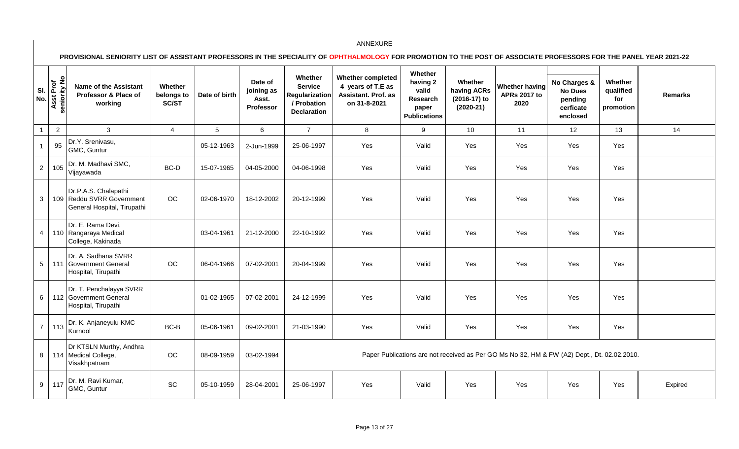**PROVISIONAL SENIORITY LIST OF ASSISTANT PROFESSORS IN THE SPECIALITY OF OPHTHALMOLOGY FOR PROMOTION TO THE POST OF ASSOCIATE PROFESSORS FOR THE PANEL YEAR 2021-22** 

| SI.<br>No.     | Asst Prof<br>seniority No | <b>Name of the Assistant</b><br>Professor & Place of<br>working                  | Whether<br>belongs to<br>SC/ST | Date of birth   | Date of<br>joining as<br>Asst.<br>Professor | Whether<br><b>Service</b><br><b>Regularization</b><br>/ Probation<br><b>Declaration</b> | <b>Whether completed</b><br>4 years of T.E as<br>Assistant. Prof. as<br>on 31-8-2021 | Whether<br>having 2<br>valid<br>Research<br>paper<br><b>Publications</b> | Whether<br>having ACRs<br>(2016-17) to<br>$(2020-21)$ | <b>Whether having</b><br><b>APRs 2017 to</b><br>2020                                        | No Charges &<br><b>No Dues</b><br>pending<br>cerficate<br>enclosed | Whether<br>qualified<br>for<br>promotion | <b>Remarks</b> |
|----------------|---------------------------|----------------------------------------------------------------------------------|--------------------------------|-----------------|---------------------------------------------|-----------------------------------------------------------------------------------------|--------------------------------------------------------------------------------------|--------------------------------------------------------------------------|-------------------------------------------------------|---------------------------------------------------------------------------------------------|--------------------------------------------------------------------|------------------------------------------|----------------|
| $\overline{1}$ | $\overline{2}$            | $\mathbf{3}$                                                                     | $\overline{4}$                 | $5\phantom{.0}$ | 6                                           | $\overline{7}$                                                                          | 8                                                                                    | 9                                                                        | 10                                                    | 11                                                                                          | 12                                                                 | 13                                       | 14             |
| $\overline{1}$ | 95                        | Dr.Y. Srenivasu,<br>GMC, Guntur                                                  |                                | 05-12-1963      | 2-Jun-1999                                  | 25-06-1997                                                                              | Yes                                                                                  | Valid                                                                    | Yes                                                   | Yes                                                                                         | Yes                                                                | Yes                                      |                |
| $\overline{2}$ | 105                       | Dr. M. Madhavi SMC,<br>Vijayawada                                                | BC-D                           | 15-07-1965      | 04-05-2000                                  | 04-06-1998                                                                              | Yes                                                                                  | Valid                                                                    | Yes                                                   | Yes                                                                                         | Yes                                                                | Yes                                      |                |
| $\mathbf{3}$   |                           | Dr.P.A.S. Chalapathi<br>109 Reddu SVRR Government<br>General Hospital, Tirupathi | OC                             | 02-06-1970      | 18-12-2002                                  | 20-12-1999                                                                              | Yes                                                                                  | Valid                                                                    | Yes                                                   | Yes                                                                                         | Yes                                                                | Yes                                      |                |
| $\overline{4}$ |                           | Dr. E. Rama Devi,<br>110 Rangaraya Medical<br>College, Kakinada                  |                                | 03-04-1961      | 21-12-2000                                  | 22-10-1992                                                                              | Yes                                                                                  | Valid                                                                    | Yes                                                   | Yes                                                                                         | Yes                                                                | Yes                                      |                |
| $\overline{5}$ | 111                       | Dr. A. Sadhana SVRR<br><b>Government General</b><br>Hospital, Tirupathi          | OC                             | 06-04-1966      | 07-02-2001                                  | 20-04-1999                                                                              | Yes                                                                                  | Valid                                                                    | Yes                                                   | Yes                                                                                         | Yes                                                                | Yes                                      |                |
| $\,6\,$        |                           | Dr. T. Penchalayya SVRR<br>112 Government General<br>Hospital, Tirupathi         |                                | 01-02-1965      | 07-02-2001                                  | 24-12-1999                                                                              | Yes                                                                                  | Valid                                                                    | Yes                                                   | Yes                                                                                         | Yes                                                                | Yes                                      |                |
| $\overline{7}$ | 113                       | Dr. K. Anjaneyulu KMC<br>Kurnool                                                 | BC-B                           | 05-06-1961      | 09-02-2001                                  | 21-03-1990                                                                              | Yes                                                                                  | Valid                                                                    | Yes                                                   | Yes                                                                                         | Yes                                                                | Yes                                      |                |
| $\bf8$         |                           | Dr KTSLN Murthy, Andhra<br>114 Medical College,<br>Visakhpatnam                  | OC                             | 08-09-1959      | 03-02-1994                                  |                                                                                         |                                                                                      |                                                                          |                                                       | Paper Publications are not received as Per GO Ms No 32, HM & FW (A2) Dept., Dt. 02.02.2010. |                                                                    |                                          |                |
| 9              | 117                       | Dr. M. Ravi Kumar,<br>GMC, Guntur                                                | SC                             | 05-10-1959      | 28-04-2001                                  | 25-06-1997                                                                              | Yes                                                                                  | Valid                                                                    | Yes                                                   | Yes                                                                                         | Yes                                                                | Yes                                      | Expired        |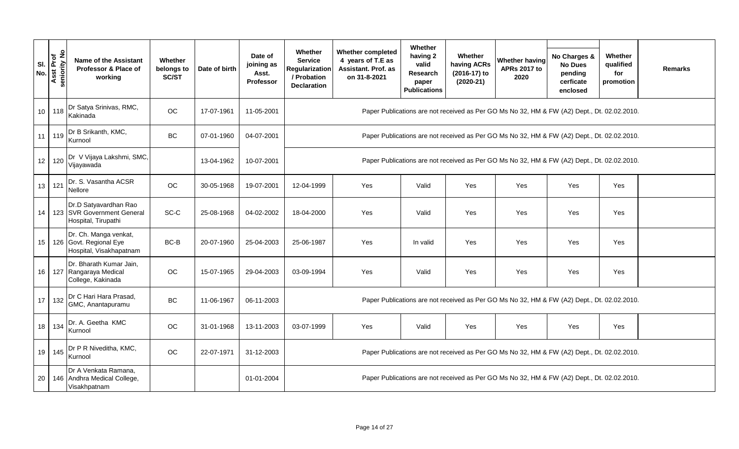| SI.<br>No. | Asst Prof<br>seniority No | <b>Name of the Assistant</b><br>Professor & Place of<br>working            | Whether<br>belongs to<br>SC/ST | Date of birth | Date of<br>joining as<br>Asst.<br>Professor | Whether<br><b>Service</b><br><b>Regularization</b><br>/ Probation<br><b>Declaration</b>     | <b>Whether completed</b><br>4 years of T.E as<br>Assistant. Prof. as<br>on 31-8-2021 | Whether<br>having 2<br>valid<br>Research<br>paper<br><b>Publications</b> | Whether<br>having ACRs<br>(2016-17) to<br>$(2020-21)$ | <b>Whether having</b><br><b>APRs 2017 to</b><br>2020                                        | No Charges &<br><b>No Dues</b><br>pending<br>cerficate<br>enclosed | Whether<br>qualified<br>for<br>promotion | <b>Remarks</b> |  |
|------------|---------------------------|----------------------------------------------------------------------------|--------------------------------|---------------|---------------------------------------------|---------------------------------------------------------------------------------------------|--------------------------------------------------------------------------------------|--------------------------------------------------------------------------|-------------------------------------------------------|---------------------------------------------------------------------------------------------|--------------------------------------------------------------------|------------------------------------------|----------------|--|
| 10         | 118                       | Dr Satya Srinivas, RMC,<br>Kakinada                                        | OC                             | 17-07-1961    | 11-05-2001                                  |                                                                                             |                                                                                      |                                                                          |                                                       | Paper Publications are not received as Per GO Ms No 32, HM & FW (A2) Dept., Dt. 02.02.2010. |                                                                    |                                          |                |  |
| 11         | 119                       | Dr B Srikanth, KMC,<br>Kurnool                                             | BC                             | 07-01-1960    | 04-07-2001                                  |                                                                                             |                                                                                      |                                                                          |                                                       | Paper Publications are not received as Per GO Ms No 32, HM & FW (A2) Dept., Dt. 02.02.2010. |                                                                    |                                          |                |  |
| 12         | 120                       | Dr V Vijaya Lakshmi, SMC,<br>Vijayawada                                    |                                | 13-04-1962    | 10-07-2001                                  |                                                                                             |                                                                                      |                                                                          |                                                       | Paper Publications are not received as Per GO Ms No 32, HM & FW (A2) Dept., Dt. 02.02.2010. |                                                                    |                                          |                |  |
| 13         | 121                       | Dr. S. Vasantha ACSR<br>Nellore                                            | OC                             | 30-05-1968    | 19-07-2001                                  | 12-04-1999                                                                                  | Yes                                                                                  | Valid                                                                    | Yes                                                   | Yes                                                                                         | Yes                                                                | Yes                                      |                |  |
| 14         |                           | Dr.D Satyavardhan Rao<br>123 SVR Government General<br>Hospital, Tirupathi | SC-C                           | 25-08-1968    | 04-02-2002                                  | 18-04-2000                                                                                  | Yes                                                                                  | Valid                                                                    | Yes                                                   | Yes                                                                                         | Yes                                                                | Yes                                      |                |  |
| 15         |                           | Dr. Ch. Manga venkat,<br>126 Govt. Regional Eye<br>Hospital, Visakhapatnam | BC-B                           | 20-07-1960    | 25-04-2003                                  | 25-06-1987                                                                                  | Yes                                                                                  | In valid                                                                 | Yes                                                   | Yes                                                                                         | Yes                                                                | Yes                                      |                |  |
| 16         |                           | Dr. Bharath Kumar Jain,<br>127 Rangaraya Medical<br>College, Kakinada      | OC                             | 15-07-1965    | 29-04-2003                                  | 03-09-1994                                                                                  | Yes                                                                                  | Valid                                                                    | Yes                                                   | Yes                                                                                         | Yes                                                                | Yes                                      |                |  |
| 17         | 132                       | Dr C Hari Hara Prasad,<br>GMC, Anantapuramu                                | <b>BC</b>                      | 11-06-1967    | 06-11-2003                                  |                                                                                             |                                                                                      |                                                                          |                                                       | Paper Publications are not received as Per GO Ms No 32, HM & FW (A2) Dept., Dt. 02.02.2010. |                                                                    |                                          |                |  |
| 18         | 134                       | Dr. A. Geetha KMC<br>Kurnool                                               | <b>OC</b>                      | 31-01-1968    | 13-11-2003                                  | 03-07-1999<br>Yes<br>Valid<br>Yes<br>Yes<br>Yes<br>Yes                                      |                                                                                      |                                                                          |                                                       |                                                                                             |                                                                    |                                          |                |  |
| 19         | 145                       | Dr P R Niveditha, KMC,<br>Kurnool                                          | OC                             | 22-07-1971    | 31-12-2003                                  | Paper Publications are not received as Per GO Ms No 32, HM & FW (A2) Dept., Dt. 02.02.2010. |                                                                                      |                                                                          |                                                       |                                                                                             |                                                                    |                                          |                |  |
| 20         |                           | Dr A Venkata Ramana,<br>146 Andhra Medical College,<br>Visakhpatnam        |                                |               | 01-01-2004                                  |                                                                                             |                                                                                      |                                                                          |                                                       | Paper Publications are not received as Per GO Ms No 32, HM & FW (A2) Dept., Dt. 02.02.2010. |                                                                    |                                          |                |  |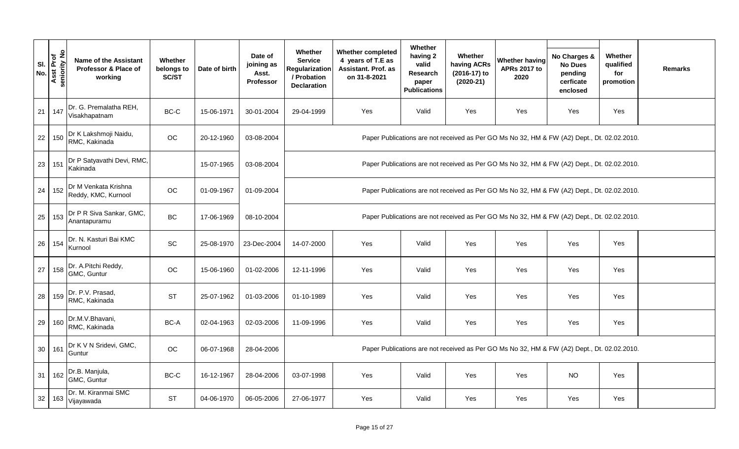| SI.<br>No.      | Asst Prof<br>seniority No | <b>Name of the Assistant</b><br>Professor & Place of<br>working | Whether<br>belongs to<br>SC/ST | Date of birth | Date of<br>joining as<br>Asst.<br><b>Professor</b> | Whether<br><b>Service</b><br>Regularization<br>/ Probation<br><b>Declaration</b>            | <b>Whether completed</b><br>4 years of T.E as<br>Assistant. Prof. as<br>on 31-8-2021 | Whether<br>having 2<br>valid<br>Research<br>paper<br><b>Publications</b> | Whether<br>having ACRs<br>(2016-17) to<br>$(2020-21)$ | <b>Whether having</b><br><b>APRs 2017 to</b><br>2020                                        | No Charges &<br><b>No Dues</b><br>pending<br>cerficate<br>enclosed | Whether<br>qualified<br>for<br>promotion | <b>Remarks</b> |
|-----------------|---------------------------|-----------------------------------------------------------------|--------------------------------|---------------|----------------------------------------------------|---------------------------------------------------------------------------------------------|--------------------------------------------------------------------------------------|--------------------------------------------------------------------------|-------------------------------------------------------|---------------------------------------------------------------------------------------------|--------------------------------------------------------------------|------------------------------------------|----------------|
| 21              | 147                       | Dr. G. Premalatha REH,<br>Visakhapatnam                         | $BC-C$                         | 15-06-1971    | 30-01-2004                                         | 29-04-1999                                                                                  | Yes                                                                                  | Valid                                                                    | Yes                                                   | Yes                                                                                         | Yes                                                                | Yes                                      |                |
| 22              | 150                       | Dr K Lakshmoji Naidu,<br>RMC, Kakinada                          | OC                             | 20-12-1960    | 03-08-2004                                         |                                                                                             |                                                                                      |                                                                          |                                                       | Paper Publications are not received as Per GO Ms No 32, HM & FW (A2) Dept., Dt. 02.02.2010. |                                                                    |                                          |                |
| 23              | 151                       | Dr P Satyavathi Devi, RMC,<br>Kakinada                          |                                | 15-07-1965    | 03-08-2004                                         |                                                                                             |                                                                                      |                                                                          |                                                       | Paper Publications are not received as Per GO Ms No 32, HM & FW (A2) Dept., Dt. 02.02.2010. |                                                                    |                                          |                |
| 24              | 152                       | Dr M Venkata Krishna<br>Reddy, KMC, Kurnool                     | OC                             | 01-09-1967    | 01-09-2004                                         |                                                                                             |                                                                                      |                                                                          |                                                       | Paper Publications are not received as Per GO Ms No 32, HM & FW (A2) Dept., Dt. 02.02.2010. |                                                                    |                                          |                |
| 25              | 153                       | Dr P R Siva Sankar, GMC,<br>Anantapuramu                        | BC                             | 17-06-1969    | 08-10-2004                                         | Paper Publications are not received as Per GO Ms No 32, HM & FW (A2) Dept., Dt. 02.02.2010. |                                                                                      |                                                                          |                                                       |                                                                                             |                                                                    |                                          |                |
| 26              | 154                       | Dr. N. Kasturi Bai KMC<br>Kurnool                               | SC                             | 25-08-1970    | 23-Dec-2004                                        | 14-07-2000                                                                                  | Yes                                                                                  | Valid                                                                    | Yes                                                   | Yes                                                                                         | Yes                                                                | Yes                                      |                |
| 27              | 158                       | Dr. A.Pitchi Reddy,<br>GMC, Guntur                              | $_{\rm OC}$                    | 15-06-1960    | 01-02-2006                                         | 12-11-1996                                                                                  | Yes                                                                                  | Valid                                                                    | Yes                                                   | Yes                                                                                         | Yes                                                                | Yes                                      |                |
| 28              | 159                       | Dr. P.V. Prasad,<br>RMC, Kakinada                               | <b>ST</b>                      | 25-07-1962    | 01-03-2006                                         | 01-10-1989                                                                                  | Yes                                                                                  | Valid                                                                    | Yes                                                   | Yes                                                                                         | Yes                                                                | Yes                                      |                |
| 29              | 160                       | Dr.M.V.Bhavani,<br>RMC, Kakinada                                | BC-A                           | 02-04-1963    | 02-03-2006                                         | 11-09-1996                                                                                  | Yes                                                                                  | Valid                                                                    | Yes                                                   | Yes                                                                                         | Yes                                                                | Yes                                      |                |
| 30 <sup>1</sup> | 161                       | Dr K V N Sridevi, GMC,<br>Guntur                                | OC                             | 06-07-1968    | 28-04-2006                                         |                                                                                             |                                                                                      |                                                                          |                                                       | Paper Publications are not received as Per GO Ms No 32, HM & FW (A2) Dept., Dt. 02.02.2010. |                                                                    |                                          |                |
| 31              | 162                       | Dr.B. Manjula,<br>GMC, Guntur                                   | $BC-C$                         | 16-12-1967    | 28-04-2006                                         | 03-07-1998                                                                                  | Yes                                                                                  | Valid                                                                    | Yes                                                   | Yes                                                                                         | <b>NO</b>                                                          | Yes                                      |                |
| 32              | 163                       | Dr. M. Kiranmai SMC<br>Vijayawada                               | <b>ST</b>                      | 04-06-1970    | 06-05-2006                                         | 27-06-1977                                                                                  | Yes                                                                                  | Valid                                                                    | Yes                                                   | Yes                                                                                         | Yes                                                                | Yes                                      |                |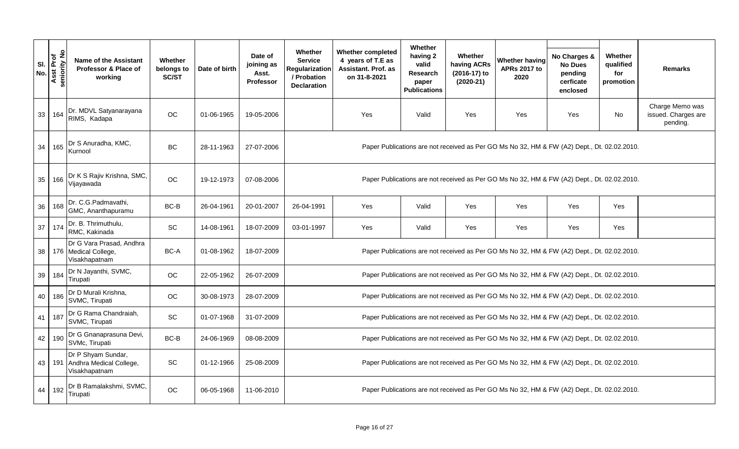|            |                                     |                                                                    |                                       |               |                                                    |                                                                                  |                                                                               | Whether                                                              |                                                       |                                                                                             |                                                                    |                                          |                                                    |
|------------|-------------------------------------|--------------------------------------------------------------------|---------------------------------------|---------------|----------------------------------------------------|----------------------------------------------------------------------------------|-------------------------------------------------------------------------------|----------------------------------------------------------------------|-------------------------------------------------------|---------------------------------------------------------------------------------------------|--------------------------------------------------------------------|------------------------------------------|----------------------------------------------------|
| SI.<br>No. | Prof<br>ity No<br>seniority<br>Asst | <b>Name of the Assistant</b><br>Professor & Place of<br>working    | <b>Whether</b><br>belongs to<br>SC/ST | Date of birth | Date of<br>joining as<br>Asst.<br><b>Professor</b> | Whether<br><b>Service</b><br>Regularization<br>/ Probation<br><b>Declaration</b> | Whether completed<br>4 years of T.E as<br>Assistant. Prof. as<br>on 31-8-2021 | having 2<br>valid<br><b>Research</b><br>paper<br><b>Publications</b> | Whether<br>having ACRs<br>(2016-17) to<br>$(2020-21)$ | <b>Whether having</b><br><b>APRs 2017 to</b><br>2020                                        | No Charges &<br><b>No Dues</b><br>pending<br>cerficate<br>enclosed | Whether<br>qualified<br>for<br>promotion | <b>Remarks</b>                                     |
| 33         | 164                                 | Dr. MDVL Satyanarayana<br>RIMS, Kadapa                             | OC                                    | 01-06-1965    | 19-05-2006                                         |                                                                                  | Yes                                                                           | Valid                                                                | Yes                                                   | Yes                                                                                         | Yes                                                                | <b>No</b>                                | Charge Memo was<br>issued. Charges are<br>pending. |
| 34         | 165                                 | Dr S Anuradha, KMC,<br>Kurnool                                     | BC                                    | 28-11-1963    | 27-07-2006                                         |                                                                                  |                                                                               |                                                                      |                                                       | Paper Publications are not received as Per GO Ms No 32, HM & FW (A2) Dept., Dt. 02.02.2010. |                                                                    |                                          |                                                    |
| 35         | 166                                 | Dr K S Rajiv Krishna, SMC,<br>Vijayawada                           | <b>OC</b>                             | 19-12-1973    | 07-08-2006                                         |                                                                                  |                                                                               |                                                                      |                                                       | Paper Publications are not received as Per GO Ms No 32, HM & FW (A2) Dept., Dt. 02.02.2010. |                                                                    |                                          |                                                    |
| 36         | 168                                 | Dr. C.G.Padmavathi,<br>GMC, Ananthapuramu                          | BC-B                                  | 26-04-1961    | 20-01-2007                                         | 26-04-1991                                                                       | Yes                                                                           | Valid                                                                | Yes                                                   | Yes                                                                                         | Yes                                                                | Yes                                      |                                                    |
| 37         | 174                                 | Dr. B. Thrimuthulu,<br>RMC, Kakinada                               | $\operatorname{\textsf{SC}}$          | 14-08-1961    | 18-07-2009                                         | 03-01-1997                                                                       | Yes                                                                           | Valid                                                                | Yes                                                   | Yes                                                                                         | Yes                                                                | Yes                                      |                                                    |
| 38         |                                     | Dr G Vara Prasad, Andhra<br>176 Medical College,<br>Visakhapatnam  | BC-A                                  | 01-08-1962    | 18-07-2009                                         |                                                                                  |                                                                               |                                                                      |                                                       | Paper Publications are not received as Per GO Ms No 32, HM & FW (A2) Dept., Dt. 02.02.2010. |                                                                    |                                          |                                                    |
| 39         | 184                                 | Dr N Jayanthi, SVMC,<br>Tirupati                                   | OC                                    | 22-05-1962    | 26-07-2009                                         |                                                                                  |                                                                               |                                                                      |                                                       | Paper Publications are not received as Per GO Ms No 32, HM & FW (A2) Dept., Dt. 02.02.2010. |                                                                    |                                          |                                                    |
| 40         | 186                                 | Dr D Murali Krishna,<br>SVMC, Tirupati                             | OC                                    | 30-08-1973    | 28-07-2009                                         |                                                                                  |                                                                               |                                                                      |                                                       | Paper Publications are not received as Per GO Ms No 32, HM & FW (A2) Dept., Dt. 02.02.2010. |                                                                    |                                          |                                                    |
| 41         | 187                                 | Dr G Rama Chandraiah,<br>SVMC, Tirupati                            | SC                                    | 01-07-1968    | 31-07-2009                                         |                                                                                  |                                                                               |                                                                      |                                                       | Paper Publications are not received as Per GO Ms No 32, HM & FW (A2) Dept., Dt. 02.02.2010. |                                                                    |                                          |                                                    |
| 42         | 190                                 | Dr G Gnanaprasuna Devi,<br>SVMc, Tirupati                          | BC-B                                  | 24-06-1969    | 08-08-2009                                         |                                                                                  |                                                                               |                                                                      |                                                       | Paper Publications are not received as Per GO Ms No 32, HM & FW (A2) Dept., Dt. 02.02.2010. |                                                                    |                                          |                                                    |
| 43         |                                     | Dr P Shyam Sundar,<br>191 Andhra Medical College,<br>Visakhapatnam | SC                                    | 01-12-1966    | 25-08-2009                                         |                                                                                  |                                                                               |                                                                      |                                                       | Paper Publications are not received as Per GO Ms No 32, HM & FW (A2) Dept., Dt. 02.02.2010. |                                                                    |                                          |                                                    |
| 44         | 192                                 | Dr B Ramalakshmi, SVMC,<br>Tirupati                                | OC                                    | 06-05-1968    | 11-06-2010                                         |                                                                                  |                                                                               |                                                                      |                                                       | Paper Publications are not received as Per GO Ms No 32, HM & FW (A2) Dept., Dt. 02.02.2010. |                                                                    |                                          |                                                    |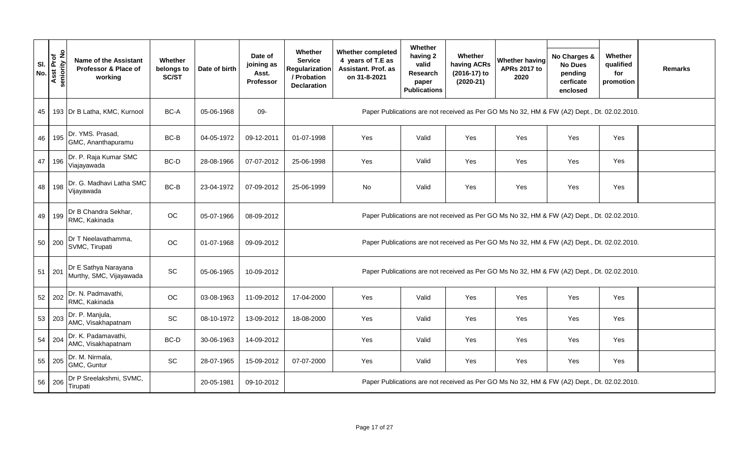|            |                           |                                                                 |                                       |               |                                                    |                                                                                             |                                                                                      | Whether                                                       |                                                       |                                                                                             |                                                                    |                                          |                |  |  |
|------------|---------------------------|-----------------------------------------------------------------|---------------------------------------|---------------|----------------------------------------------------|---------------------------------------------------------------------------------------------|--------------------------------------------------------------------------------------|---------------------------------------------------------------|-------------------------------------------------------|---------------------------------------------------------------------------------------------|--------------------------------------------------------------------|------------------------------------------|----------------|--|--|
| SI.<br>No. | Asst Prof<br>seniority No | <b>Name of the Assistant</b><br>Professor & Place of<br>working | <b>Whether</b><br>belongs to<br>SC/ST | Date of birth | Date of<br>joining as<br>Asst.<br><b>Professor</b> | Whether<br><b>Service</b><br>Regularization<br>/ Probation<br><b>Declaration</b>            | <b>Whether completed</b><br>4 years of T.E as<br>Assistant. Prof. as<br>on 31-8-2021 | having 2<br>valid<br>Research<br>paper<br><b>Publications</b> | Whether<br>having ACRs<br>(2016-17) to<br>$(2020-21)$ | <b>Whether having</b><br><b>APRs 2017 to</b><br>2020                                        | No Charges &<br><b>No Dues</b><br>pending<br>cerficate<br>enclosed | Whether<br>qualified<br>for<br>promotion | <b>Remarks</b> |  |  |
| 45         |                           | 193   Dr B Latha, KMC, Kurnool                                  | BC-A                                  | 05-06-1968    | 09-                                                |                                                                                             |                                                                                      |                                                               |                                                       | Paper Publications are not received as Per GO Ms No 32, HM & FW (A2) Dept., Dt. 02.02.2010. |                                                                    |                                          |                |  |  |
| 46         | 195                       | Dr. YMS. Prasad,<br>GMC, Ananthapuramu                          | BC-B                                  | 04-05-1972    | 09-12-2011                                         | 01-07-1998                                                                                  | Yes                                                                                  | Valid                                                         | Yes                                                   | Yes                                                                                         | Yes                                                                | Yes                                      |                |  |  |
| 47         | 196                       | Dr. P. Raja Kumar SMC<br>Viajayawada                            | BC-D                                  | 28-08-1966    | 07-07-2012                                         | 25-06-1998                                                                                  | Yes                                                                                  | Valid                                                         | Yes                                                   | Yes                                                                                         | Yes                                                                | Yes                                      |                |  |  |
| 48         | 198                       | Dr. G. Madhavi Latha SMC<br>Vijayawada                          | BC-B                                  | 23-04-1972    | 07-09-2012                                         | 25-06-1999                                                                                  | No                                                                                   | Valid                                                         | Yes                                                   | Yes                                                                                         | Yes                                                                | Yes                                      |                |  |  |
| 49         | 199                       | Dr B Chandra Sekhar,<br>RMC, Kakinada                           | OC                                    | 05-07-1966    | 08-09-2012                                         | Paper Publications are not received as Per GO Ms No 32, HM & FW (A2) Dept., Dt. 02.02.2010. |                                                                                      |                                                               |                                                       |                                                                                             |                                                                    |                                          |                |  |  |
| 50         | 200                       | Dr T Neelavathamma,<br>SVMC, Tirupati                           | OC                                    | 01-07-1968    | 09-09-2012                                         |                                                                                             |                                                                                      |                                                               |                                                       | Paper Publications are not received as Per GO Ms No 32, HM & FW (A2) Dept., Dt. 02.02.2010. |                                                                    |                                          |                |  |  |
| 51         | 201                       | Dr E Sathya Narayana<br>Murthy, SMC, Vijayawada                 | SC                                    | 05-06-1965    | 10-09-2012                                         |                                                                                             |                                                                                      |                                                               |                                                       | Paper Publications are not received as Per GO Ms No 32, HM & FW (A2) Dept., Dt. 02.02.2010. |                                                                    |                                          |                |  |  |
| 52         | 202                       | Dr. N. Padmavathi,<br>RMC, Kakinada                             | OC                                    | 03-08-1963    | 11-09-2012                                         | 17-04-2000                                                                                  | Yes                                                                                  | Valid                                                         | Yes                                                   | Yes                                                                                         | Yes                                                                | Yes                                      |                |  |  |
| 53         | 203                       | Dr. P. Manjula,<br>AMC, Visakhapatnam                           | SC                                    | 08-10-1972    | 13-09-2012                                         | 18-08-2000                                                                                  | Yes                                                                                  | Valid                                                         | Yes                                                   | Yes                                                                                         | Yes                                                                | Yes                                      |                |  |  |
| 54         | 204                       | Dr. K. Padamavathi,<br>AMC, Visakhapatnam                       | BC-D                                  | 30-06-1963    | 14-09-2012                                         |                                                                                             | Yes                                                                                  | Valid                                                         | Yes                                                   | Yes                                                                                         | Yes                                                                | Yes                                      |                |  |  |
| 55         | 205                       | Dr. M. Nirmala,<br>GMC, Guntur                                  | SC                                    | 28-07-1965    | 15-09-2012                                         | 07-07-2000                                                                                  | Yes                                                                                  | Valid                                                         | Yes                                                   | Yes                                                                                         | Yes                                                                | Yes                                      |                |  |  |
| 56         | 206                       | Dr P Sreelakshmi, SVMC,<br>Tirupati                             |                                       | 20-05-1981    | 09-10-2012                                         |                                                                                             |                                                                                      |                                                               |                                                       | Paper Publications are not received as Per GO Ms No 32, HM & FW (A2) Dept., Dt. 02.02.2010. |                                                                    |                                          |                |  |  |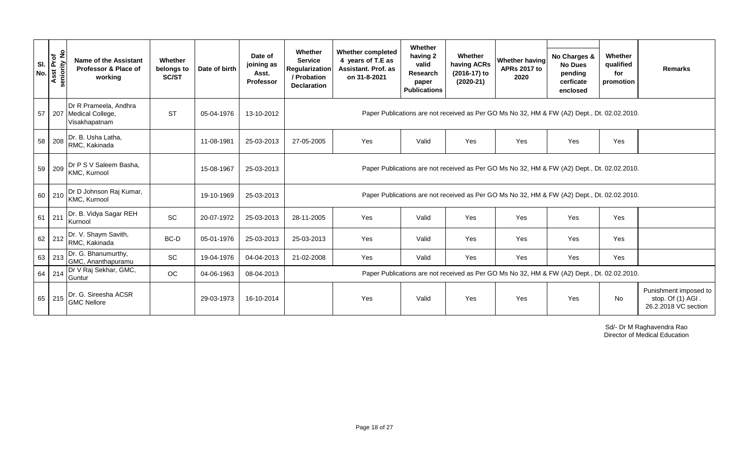| SI.<br>No. | Asst Prof<br>eniority No<br>seniority | Name of the Assistant<br>Professor & Place of<br>working       | Whether<br>belongs to<br>SC/ST | Date of birth | Date of<br>joining as<br>Asst.<br>Professor | Whether<br><b>Service</b><br><b>Regularization</b><br>/ Probation<br><b>Declaration</b>     | <b>Whether completed</b><br>4 years of T.E as<br>Assistant. Prof. as<br>on 31-8-2021 | Whether<br>having 2<br>valid<br><b>Research</b><br>paper<br><b>Publications</b> | Whether<br>having ACRs<br>(2016-17) to<br>$(2020-21)$ | <b>Whether having</b><br><b>APRs 2017 to</b><br>2020                                        | No Charges &<br><b>No Dues</b><br>pending<br>cerficate<br>enclosed | Whether<br>qualified<br>for<br>promotion | <b>Remarks</b>                                                     |
|------------|---------------------------------------|----------------------------------------------------------------|--------------------------------|---------------|---------------------------------------------|---------------------------------------------------------------------------------------------|--------------------------------------------------------------------------------------|---------------------------------------------------------------------------------|-------------------------------------------------------|---------------------------------------------------------------------------------------------|--------------------------------------------------------------------|------------------------------------------|--------------------------------------------------------------------|
| 57         |                                       | Dr R Prameela, Andhra<br>207 Medical College,<br>Visakhapatnam | <b>ST</b>                      | 05-04-1976    | 13-10-2012                                  |                                                                                             |                                                                                      |                                                                                 |                                                       | Paper Publications are not received as Per GO Ms No 32, HM & FW (A2) Dept., Dt. 02.02.2010. |                                                                    |                                          |                                                                    |
|            | 58 208                                | Dr. B. Usha Latha,<br>RMC, Kakinada                            |                                | 11-08-1981    | 25-03-2013                                  | 27-05-2005                                                                                  | Yes                                                                                  | Valid                                                                           | Yes                                                   | Yes                                                                                         | Yes                                                                | Yes                                      |                                                                    |
| 59         | 209                                   | Dr P S V Saleem Basha,<br>KMC, Kurnool                         |                                | 15-08-1967    | 25-03-2013                                  | Paper Publications are not received as Per GO Ms No 32, HM & FW (A2) Dept., Dt. 02.02.2010. |                                                                                      |                                                                                 |                                                       |                                                                                             |                                                                    |                                          |                                                                    |
|            | 60 210                                | Dr D Johnson Raj Kumar,<br>KMC, Kurnool                        |                                | 19-10-1969    | 25-03-2013                                  |                                                                                             |                                                                                      |                                                                                 |                                                       | Paper Publications are not received as Per GO Ms No 32, HM & FW (A2) Dept., Dt. 02.02.2010. |                                                                    |                                          |                                                                    |
|            | $61$ 211                              | Dr. B. Vidya Sagar REH<br>Kurnool                              | SC                             | 20-07-1972    | 25-03-2013                                  | 28-11-2005                                                                                  | Yes                                                                                  | Valid                                                                           | Yes                                                   | Yes                                                                                         | Yes                                                                | Yes                                      |                                                                    |
| 62         | 212                                   | Dr. V. Shaym Savith,<br>RMC, Kakinada                          | BC-D                           | 05-01-1976    | 25-03-2013                                  | 25-03-2013                                                                                  | Yes                                                                                  | Valid                                                                           | Yes                                                   | Yes                                                                                         | Yes                                                                | Yes                                      |                                                                    |
| 63         | 213                                   | Dr. G. Bhanumurthy,<br>GMC, Ananthapuramu                      | <b>SC</b>                      | 19-04-1976    | 04-04-2013                                  | 21-02-2008                                                                                  | Yes                                                                                  | Valid                                                                           | Yes                                                   | Yes                                                                                         | Yes                                                                | Yes                                      |                                                                    |
| 64         | 214                                   | Dr V Raj Sekhar, GMC,<br>Guntur                                | OC                             | 04-06-1963    | 08-04-2013                                  |                                                                                             |                                                                                      |                                                                                 |                                                       | Paper Publications are not received as Per GO Ms No 32, HM & FW (A2) Dept., Dt. 02.02.2010. |                                                                    |                                          |                                                                    |
| 65         | 215                                   | Dr. G. Sireesha ACSR<br><b>GMC Nellore</b>                     |                                | 29-03-1973    | 16-10-2014                                  |                                                                                             | Yes                                                                                  | Valid                                                                           | Yes                                                   | Yes                                                                                         | Yes                                                                | No                                       | Punishment imposed to<br>stop. Of (1) AGI.<br>26.2.2018 VC section |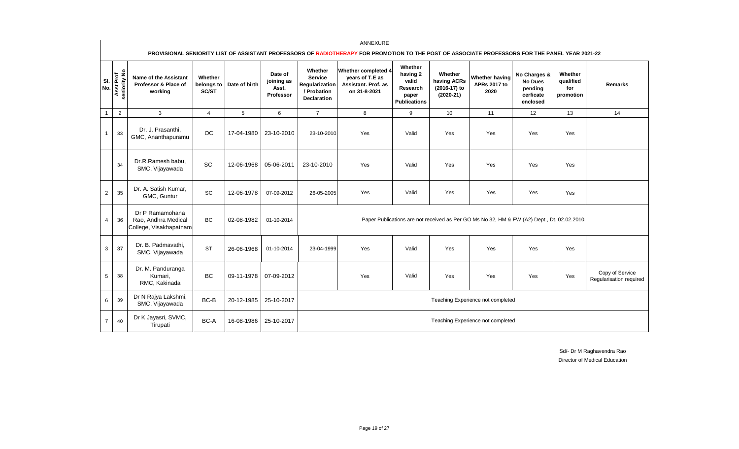|                |                           |                                                                  |                  |                          |                                             |                                                                                  | PROVISIONAL SENIORITY LIST OF ASSISTANT PROFESSORS OF RADIOTHERAPY FOR PROMOTION TO THE POST OF ASSOCIATE PROFESSORS FOR THE PANEL YEAR 2021-22 |                                                                          |                                                       |                                                                                             |                                                                    |                                          |                                            |
|----------------|---------------------------|------------------------------------------------------------------|------------------|--------------------------|---------------------------------------------|----------------------------------------------------------------------------------|-------------------------------------------------------------------------------------------------------------------------------------------------|--------------------------------------------------------------------------|-------------------------------------------------------|---------------------------------------------------------------------------------------------|--------------------------------------------------------------------|------------------------------------------|--------------------------------------------|
| SI.<br>No.     | Asst Prof<br>seniority No | <b>Name of the Assistant</b><br>Professor & Place of<br>working  | Whether<br>SC/ST | belongs to Date of birth | Date of<br>joining as<br>Asst.<br>Professor | Whether<br><b>Service</b><br>Regularization<br>/ Probation<br><b>Declaration</b> | Whether completed 4<br>years of T.E as<br>Assistant, Prof. as<br>on 31-8-2021                                                                   | Whether<br>having 2<br>valid<br>Research<br>paper<br><b>Publications</b> | Whether<br>having ACRs<br>(2016-17) to<br>$(2020-21)$ | Whether having<br><b>APRs 2017 to</b><br>2020                                               | No Charges &<br><b>No Dues</b><br>pending<br>cerficate<br>enclosed | Whether<br>qualified<br>for<br>promotion | <b>Remarks</b>                             |
|                | 2                         | 3                                                                | $\overline{4}$   | 5                        | 6                                           | $\overline{7}$                                                                   | 8                                                                                                                                               | 9                                                                        | 10                                                    | 11                                                                                          | 12                                                                 | 13                                       | 14                                         |
|                | 33                        | Dr. J. Prasanthi,<br>GMC, Ananthapuramu                          | <b>OC</b>        | 17-04-1980               | 23-10-2010                                  | 23-10-2010                                                                       | Yes                                                                                                                                             | Valid                                                                    | Yes                                                   | Yes                                                                                         | Yes                                                                | Yes                                      |                                            |
|                | 34                        | Dr.R.Ramesh babu,<br>SMC, Vijayawada                             | SC               | 12-06-1968               | 05-06-2011                                  | 23-10-2010                                                                       | Yes                                                                                                                                             | Valid                                                                    | Yes                                                   | Yes                                                                                         | Yes                                                                | Yes                                      |                                            |
| $\overline{2}$ | 35                        | Dr. A. Satish Kumar.<br>GMC, Guntur                              | SC               | 12-06-1978               | 07-09-2012                                  | 26-05-2005                                                                       | Yes                                                                                                                                             | Valid                                                                    | Yes                                                   | Yes                                                                                         | Yes                                                                | Yes                                      |                                            |
| $\overline{4}$ | 36                        | Dr P Ramamohana<br>Rao, Andhra Medical<br>College, Visakhapatnam | <b>BC</b>        | 02-08-1982               | 01-10-2014                                  |                                                                                  |                                                                                                                                                 |                                                                          |                                                       | Paper Publications are not received as Per GO Ms No 32, HM & FW (A2) Dept., Dt. 02.02.2010. |                                                                    |                                          |                                            |
| 3              | 37                        | Dr. B. Padmavathi,<br>SMC, Vijayawada                            | <b>ST</b>        | 26-06-1968               | 01-10-2014                                  | 23-04-1999                                                                       | Yes                                                                                                                                             | Valid                                                                    | Yes                                                   | Yes                                                                                         | Yes                                                                | Yes                                      |                                            |
| 5              | 38                        | Dr. M. Panduranga<br>Kumari,<br>RMC, Kakinada                    | <b>BC</b>        | 09-11-1978               | 07-09-2012                                  |                                                                                  | Yes                                                                                                                                             | Valid                                                                    | Yes                                                   | Yes                                                                                         | Yes                                                                | Yes                                      | Copy of Service<br>Regularisation required |
| 6              | 39                        | Dr N Rajya Lakshmi,<br>SMC, Vijayawada                           | $BC-B$           | 20-12-1985               | 25-10-2017                                  |                                                                                  |                                                                                                                                                 |                                                                          |                                                       | Teaching Experience not completed                                                           |                                                                    |                                          |                                            |
| $\overline{7}$ | 40                        | Dr K Jayasri, SVMC,<br>Tirupati                                  | BC-A             | 16-08-1986               | 25-10-2017                                  |                                                                                  |                                                                                                                                                 |                                                                          |                                                       | Teaching Experience not completed                                                           |                                                                    |                                          |                                            |

 $\overline{\phantom{a}}$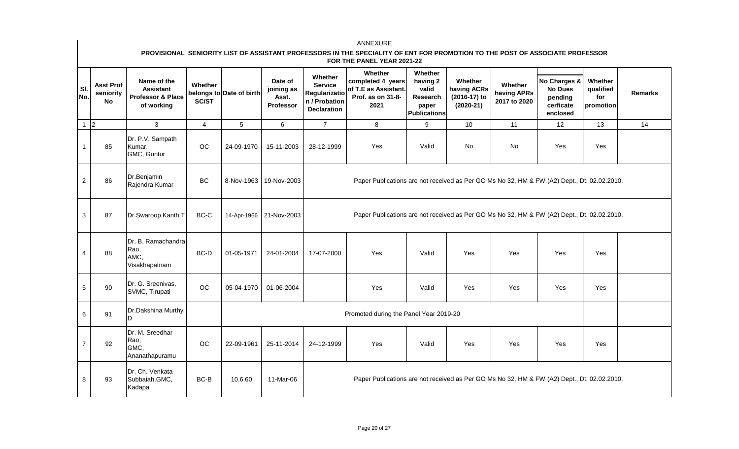### **PROVISIONAL SENIORITY LIST OF ASSISTANT PROFESSORS IN THE SPECIALITY OF ENT FOR PROMOTION TO THE POST OF ASSOCIATE PROFESSOR FOR THE PANEL YEAR 2021-22**

| SI.<br>No.      | <b>Asst Prof</b><br>seniority<br>No | Name of the<br><b>Assistant</b><br>Professor & Place<br>of working | Whether<br>SC/ST | belongs to Date of birth  | Date of<br>joining as<br>Asst.<br>Professor                                                 | Whether<br><b>Service</b><br><b>Regularizatio</b><br>n / Probation<br><b>Declaration</b> | Whether<br>completed 4 years<br>of T.E as Assistant.<br>Prof. as on 31-8-<br>2021           | Whether<br>having 2<br>valid<br>Research<br>paper<br><b>Publications</b> | Whether<br>having ACRs<br>(2016-17) to<br>$(2020-21)$ | Whether<br>having APRs<br>2017 to 2020 | No Charges &<br><b>No Dues</b><br>pending<br>cerficate<br>enclosed | Whether<br>qualified<br>for<br>promotion | <b>Remarks</b> |  |
|-----------------|-------------------------------------|--------------------------------------------------------------------|------------------|---------------------------|---------------------------------------------------------------------------------------------|------------------------------------------------------------------------------------------|---------------------------------------------------------------------------------------------|--------------------------------------------------------------------------|-------------------------------------------------------|----------------------------------------|--------------------------------------------------------------------|------------------------------------------|----------------|--|
| $1\overline{2}$ |                                     | 3                                                                  | $\overline{4}$   | 5                         | $6\phantom{1}$                                                                              | $\overline{7}$                                                                           | 8                                                                                           | 9                                                                        | 10                                                    | 11                                     | 12                                                                 | 13                                       | 14             |  |
| $\mathbf{1}$    | 85                                  | Dr. P.V. Sampath<br>Kumar,<br>GMC, Guntur                          | OC               | 24-09-1970                | 15-11-2003                                                                                  | 28-12-1999                                                                               | Yes                                                                                         | Valid                                                                    | <b>No</b>                                             | <b>No</b>                              | Yes                                                                | Yes                                      |                |  |
| $\overline{c}$  | 86                                  | Dr.Benjamin<br>Rajendra Kumar                                      | BC               | 8-Nov-1963                | 19-Nov-2003                                                                                 |                                                                                          | Paper Publications are not received as Per GO Ms No 32, HM & FW (A2) Dept., Dt. 02.02.2010. |                                                                          |                                                       |                                        |                                                                    |                                          |                |  |
| $\mathbf{3}$    | 87                                  | Dr.Swaroop Kanth T                                                 | BC-C             | 14-Apr-1966   21-Nov-2003 | Paper Publications are not received as Per GO Ms No 32, HM & FW (A2) Dept., Dt. 02.02.2010. |                                                                                          |                                                                                             |                                                                          |                                                       |                                        |                                                                    |                                          |                |  |
| $\overline{4}$  | 88                                  | Dr. B. Ramachandra<br>Rao,<br>AMC,<br>Visakhapatnam                | BC-D             | 01-05-1971                | 24-01-2004                                                                                  | 17-07-2000                                                                               | Yes                                                                                         | Valid                                                                    | Yes                                                   | Yes                                    | Yes                                                                | Yes                                      |                |  |
| $5\phantom{.0}$ | 90                                  | Dr. G. Sreenivas,<br>SVMC, Tirupati                                | OC               | 05-04-1970                | 01-06-2004                                                                                  |                                                                                          | Yes                                                                                         | Valid                                                                    | Yes                                                   | Yes                                    | Yes                                                                | Yes                                      |                |  |
| 6               | 91                                  | Dr.Dakshina Murthy<br>D                                            |                  |                           |                                                                                             |                                                                                          | Promoted during the Panel Year 2019-20                                                      |                                                                          |                                                       |                                        |                                                                    |                                          |                |  |
| $\overline{7}$  | 92                                  | Dr. M. Sreedhar<br>Rao,<br>GMC.<br>Ananathapuramu                  | OC               | 22-09-1961                | 25-11-2014                                                                                  | 24-12-1999                                                                               | Yes                                                                                         | Valid                                                                    | Yes                                                   | Yes                                    | Yes                                                                | Yes                                      |                |  |
| 8               | 93                                  | Dr. Ch. Venkata<br>Subbaiah, GMC,<br>Kadapa                        | BC-B             | 10.6.60                   | 11-Mar-06                                                                                   |                                                                                          | Paper Publications are not received as Per GO Ms No 32, HM & FW (A2) Dept., Dt. 02.02.2010. |                                                                          |                                                       |                                        |                                                                    |                                          |                |  |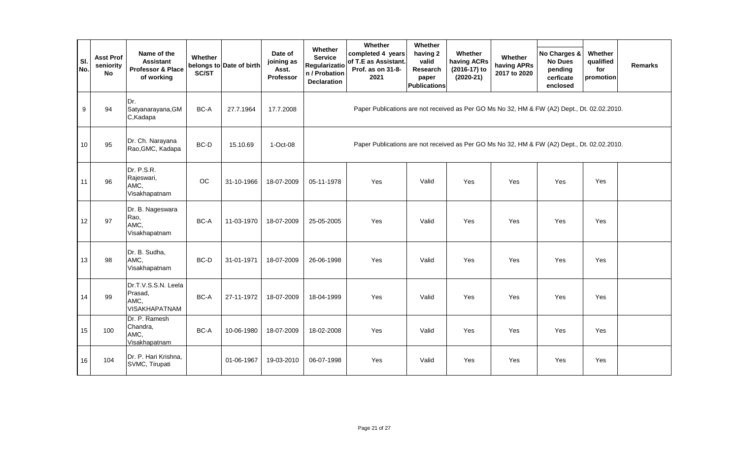| SI.<br>No. | <b>Asst Prof</b><br>seniority<br>No | Name of the<br><b>Assistant</b><br>Professor & Place<br>of working | Whether<br>SC/ST | belongs to Date of birth | Date of<br>joining as<br>Asst.<br>Professor | Whether<br><b>Service</b><br><b>Regularizatio</b><br>n / Probation<br><b>Declaration</b> | Whether<br>completed 4 years<br>of T.E as Assistant.<br>Prof. as on 31-8-<br>2021           | Whether<br>having 2<br>valid<br>Research<br>paper<br><b>Publications</b> | Whether<br>having ACRs<br>(2016-17) to<br>$(2020-21)$ | Whether<br>having APRs<br>2017 to 2020 | No Charges &<br><b>No Dues</b><br>pending<br>cerficate<br>enclosed | Whether<br>qualified<br>for<br>promotion | <b>Remarks</b> |
|------------|-------------------------------------|--------------------------------------------------------------------|------------------|--------------------------|---------------------------------------------|------------------------------------------------------------------------------------------|---------------------------------------------------------------------------------------------|--------------------------------------------------------------------------|-------------------------------------------------------|----------------------------------------|--------------------------------------------------------------------|------------------------------------------|----------------|
| $9\,$      | 94                                  | Dr.<br>Satyanarayana, GM<br>C,Kadapa                               | BC-A             | 27.7.1964                | 17.7.2008                                   |                                                                                          | Paper Publications are not received as Per GO Ms No 32, HM & FW (A2) Dept., Dt. 02.02.2010. |                                                                          |                                                       |                                        |                                                                    |                                          |                |
| 10         | 95                                  | Dr. Ch. Narayana<br>Rao, GMC, Kadapa                               | BC-D             | 15.10.69                 | 1-Oct-08                                    |                                                                                          | Paper Publications are not received as Per GO Ms No 32, HM & FW (A2) Dept., Dt. 02.02.2010. |                                                                          |                                                       |                                        |                                                                    |                                          |                |
| 11         | 96                                  | Dr. P.S.R.<br>Rajeswari,<br>AMC,<br>Visakhapatnam                  | OC               | 31-10-1966               | 18-07-2009                                  | 05-11-1978                                                                               | Yes                                                                                         | Valid                                                                    | Yes                                                   | <b>Yes</b>                             | Yes                                                                | Yes                                      |                |
| 12         | 97                                  | Dr. B. Nageswara<br>Rao,<br>AMC,<br>Visakhapatnam                  | BC-A             | 11-03-1970               | 18-07-2009                                  | 25-05-2005                                                                               | Yes                                                                                         | Valid                                                                    | Yes                                                   | Yes                                    | Yes                                                                | Yes                                      |                |
| 13         | 98                                  | Dr. B. Sudha,<br>AMC,<br>Visakhapatnam                             | BC-D             | 31-01-1971               | 18-07-2009                                  | 26-06-1998                                                                               | Yes                                                                                         | Valid                                                                    | Yes                                                   | Yes                                    | Yes                                                                | Yes                                      |                |
| 14         | 99                                  | Dr.T.V.S.S.N. Leela<br>Prasad,<br>AMC,<br><b>VISAKHAPATNAM</b>     | BC-A             | 27-11-1972               | 18-07-2009                                  | 18-04-1999                                                                               | Yes                                                                                         | Valid                                                                    | Yes                                                   | Yes                                    | Yes                                                                | Yes                                      |                |
| 15         | 100                                 | Dr. P. Ramesh<br>Chandra,<br>AMC,<br>Visakhapatnam                 | BC-A             | 10-06-1980               | 18-07-2009                                  | 18-02-2008                                                                               | Yes                                                                                         | Valid                                                                    | Yes                                                   | Yes                                    | Yes                                                                | Yes                                      |                |
| 16         | 104                                 | Dr. P. Hari Krishna,<br>SVMC, Tirupati                             |                  | 01-06-1967               | 19-03-2010                                  | 06-07-1998                                                                               | Yes                                                                                         | Valid                                                                    | Yes                                                   | Yes                                    | Yes                                                                | Yes                                      |                |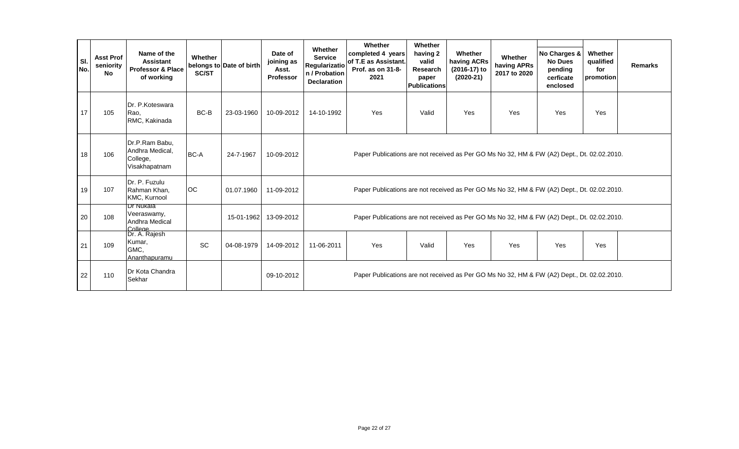| SI.<br>No. | <b>Asst Prof</b><br>seniority<br><b>No</b> | Name of the<br><b>Assistant</b><br><b>Professor &amp; Place</b><br>of working | Whether<br><b>SC/ST</b> | belongs to Date of birth | Date of<br>joining as<br>Asst.<br><b>Professor</b> | Whether<br><b>Service</b><br><b>Regularizatio</b><br>n / Probation<br><b>Declaration</b>    | Whether<br>completed 4 years<br>of T.E as Assistant.<br>Prof. as on 31-8-<br>2021           | Whether<br>having 2<br>valid<br>Research<br>paper<br><b>Publications</b> | Whether<br>having ACRs<br>(2016-17) to<br>$(2020-21)$ | Whether<br>having APRs<br>2017 to 2020 | No Charges &<br><b>No Dues</b><br>pending<br>cerficate<br>enclosed | Whether<br>qualified<br>for<br>promotion | <b>Remarks</b> |  |  |
|------------|--------------------------------------------|-------------------------------------------------------------------------------|-------------------------|--------------------------|----------------------------------------------------|---------------------------------------------------------------------------------------------|---------------------------------------------------------------------------------------------|--------------------------------------------------------------------------|-------------------------------------------------------|----------------------------------------|--------------------------------------------------------------------|------------------------------------------|----------------|--|--|
| 17         | 105                                        | Dr. P.Koteswara<br>Rao,<br>RMC, Kakinada                                      | BC-B                    | 23-03-1960               | 10-09-2012                                         | 14-10-1992                                                                                  | Yes                                                                                         | Valid                                                                    | Yes                                                   | Yes                                    | Yes                                                                | Yes                                      |                |  |  |
| 18         | 106                                        | Dr.P.Ram Babu,<br>Andhra Medical,<br>College,<br>Visakhapatnam                | BC-A                    | 24-7-1967                | 10-09-2012                                         | Paper Publications are not received as Per GO Ms No 32, HM & FW (A2) Dept., Dt. 02.02.2010. |                                                                                             |                                                                          |                                                       |                                        |                                                                    |                                          |                |  |  |
| 19         | 107                                        | Dr. P. Fuzulu<br>Rahman Khan,<br>KMC, Kurnool                                 | <b>OC</b>               | 01.07.1960               | 11-09-2012                                         |                                                                                             | Paper Publications are not received as Per GO Ms No 32, HM & FW (A2) Dept., Dt. 02.02.2010. |                                                                          |                                                       |                                        |                                                                    |                                          |                |  |  |
| 20         | 108                                        | Dr Nukala<br>Veeraswamy,<br>Andhra Medical                                    |                         | 15-01-1962               | 13-09-2012                                         |                                                                                             | Paper Publications are not received as Per GO Ms No 32, HM & FW (A2) Dept., Dt. 02.02.2010. |                                                                          |                                                       |                                        |                                                                    |                                          |                |  |  |
| 21         | 109                                        | College<br>Dr. A. Rajesh<br>Kumar,<br>GMC,<br>Ananthapuramu                   | SC                      | 04-08-1979               | 14-09-2012                                         | 11-06-2011                                                                                  | Yes                                                                                         | Valid                                                                    | Yes                                                   | Yes                                    | Yes                                                                | Yes                                      |                |  |  |
| 22         | 110                                        | Dr Kota Chandra<br>Sekhar                                                     |                         |                          | 09-10-2012                                         |                                                                                             | Paper Publications are not received as Per GO Ms No 32, HM & FW (A2) Dept., Dt. 02.02.2010. |                                                                          |                                                       |                                        |                                                                    |                                          |                |  |  |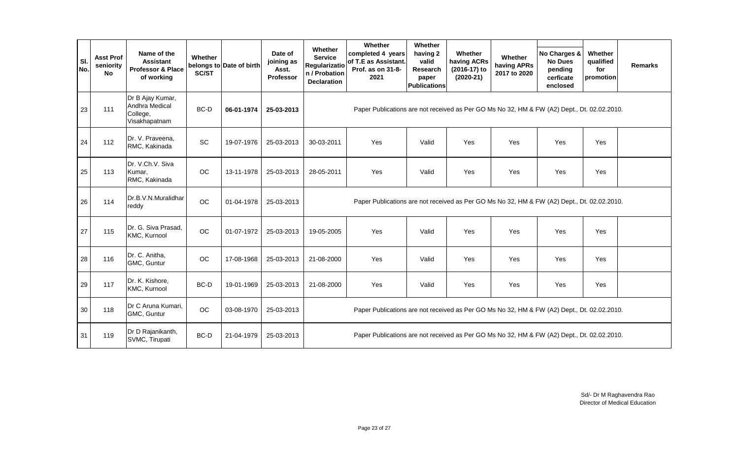|            |                                     |                                                                    |                  |                          |                                                    |                                                                                             | Whether                                                                                     | Whether                                                       |                                                       |                                        |                                                                    |                                          |                |
|------------|-------------------------------------|--------------------------------------------------------------------|------------------|--------------------------|----------------------------------------------------|---------------------------------------------------------------------------------------------|---------------------------------------------------------------------------------------------|---------------------------------------------------------------|-------------------------------------------------------|----------------------------------------|--------------------------------------------------------------------|------------------------------------------|----------------|
| SI.<br>No. | <b>Asst Prof</b><br>seniority<br>No | Name of the<br><b>Assistant</b><br>Professor & Place<br>of working | Whether<br>SC/ST | belongs to Date of birth | Date of<br>joining as<br>Asst.<br><b>Professor</b> | Whether<br><b>Service</b><br>Regularizatio<br>n / Probation<br><b>Declaration</b>           | completed 4 years<br>of T.E as Assistant.<br>Prof. as on 31-8-<br>2021                      | having 2<br>valid<br>Research<br>paper<br><b>Publications</b> | Whether<br>having ACRs<br>(2016-17) to<br>$(2020-21)$ | Whether<br>having APRs<br>2017 to 2020 | No Charges &<br><b>No Dues</b><br>pending<br>cerficate<br>enclosed | Whether<br>qualified<br>for<br>promotion | <b>Remarks</b> |
| 23         | 111                                 | Dr B Ajay Kumar,<br>Andhra Medical<br>College,<br>Visakhapatnam    | BC-D             | 06-01-1974               | 25-03-2013                                         |                                                                                             | Paper Publications are not received as Per GO Ms No 32, HM & FW (A2) Dept., Dt. 02.02.2010. |                                                               |                                                       |                                        |                                                                    |                                          |                |
| 24         | 112                                 | Dr. V. Praveena,<br>RMC, Kakinada                                  | <b>SC</b>        | 19-07-1976               | 25-03-2013                                         | 30-03-2011                                                                                  | Yes                                                                                         | Valid                                                         | Yes                                                   | Yes                                    | Yes                                                                | Yes                                      |                |
| 25         | 113                                 | Dr. V.Ch.V. Siva<br>Kumar,<br>RMC, Kakinada                        | <b>OC</b>        | 13-11-1978               | 25-03-2013                                         | 28-05-2011                                                                                  | Yes                                                                                         | Valid                                                         | Yes                                                   | Yes                                    | Yes                                                                | Yes                                      |                |
| 26         | 114                                 | Dr.B.V.N.Muralidhar<br>reddy                                       | OC               | 01-04-1978               | 25-03-2013                                         | Paper Publications are not received as Per GO Ms No 32, HM & FW (A2) Dept., Dt. 02.02.2010. |                                                                                             |                                                               |                                                       |                                        |                                                                    |                                          |                |
| 27         | 115                                 | Dr. G. Siva Prasad,<br>KMC, Kurnool                                | OC               | 01-07-1972               | 25-03-2013                                         | 19-05-2005                                                                                  | Yes                                                                                         | Valid                                                         | Yes                                                   | Yes                                    | Yes                                                                | Yes                                      |                |
| 28         | 116                                 | Dr. C. Anitha,<br>GMC, Guntur                                      | OC               | 17-08-1968               | 25-03-2013                                         | 21-08-2000                                                                                  | Yes                                                                                         | Valid                                                         | Yes                                                   | Yes                                    | Yes                                                                | Yes                                      |                |
| 29         | 117                                 | Dr. K. Kishore,<br>KMC, Kurnool                                    | BC-D             | 19-01-1969               | 25-03-2013                                         | 21-08-2000                                                                                  | Yes                                                                                         | Valid                                                         | Yes                                                   | Yes                                    | Yes                                                                | Yes                                      |                |
| 30         | 118                                 | Dr C Aruna Kumari,<br>GMC, Guntur                                  | OC               | 03-08-1970               | 25-03-2013                                         |                                                                                             | Paper Publications are not received as Per GO Ms No 32, HM & FW (A2) Dept., Dt. 02.02.2010. |                                                               |                                                       |                                        |                                                                    |                                          |                |
| 31         | 119                                 | Dr D Rajanikanth,<br>SVMC, Tirupati                                | BC-D             | 21-04-1979               | 25-03-2013                                         |                                                                                             | Paper Publications are not received as Per GO Ms No 32, HM & FW (A2) Dept., Dt. 02.02.2010. |                                                               |                                                       |                                        |                                                                    |                                          |                |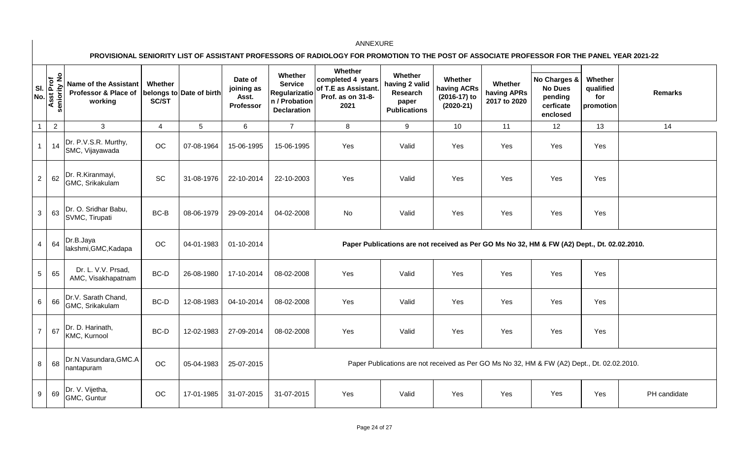**PROVISIONAL SENIORITY LIST OF ASSISTANT PROFESSORS OF RADIOLOGY FOR PROMOTION TO THE POST OF ASSOCIATE PROFESSOR FOR THE PANEL YEAR 2021-22** 

| SI.<br>No.      | $\circ$<br>seniority N<br><b>Asst Prof</b> | <b>Name of the Assistant</b><br>Professor & Place of<br>working | Whether<br>SC/ST | belongs to Date of birth | Date of<br>joining as<br>Asst.<br>Professor | Whether<br><b>Service</b><br><b>Regularizatio</b><br>n / Probation<br><b>Declaration</b> | Whether<br>completed 4 years<br>of T.E as Assistant.<br>Prof. as on 31-8-<br>2021 | Whether<br>having 2 valid<br>Research<br>paper<br><b>Publications</b>                       | Whether<br>having ACRs<br>(2016-17) to<br>$(2020-21)$ | Whether<br>having APRs<br>2017 to 2020 | No Charges &<br><b>No Dues</b><br>pending<br>cerficate<br>enclosed | Whether<br>qualified<br>for<br>promotion | <b>Remarks</b> |
|-----------------|--------------------------------------------|-----------------------------------------------------------------|------------------|--------------------------|---------------------------------------------|------------------------------------------------------------------------------------------|-----------------------------------------------------------------------------------|---------------------------------------------------------------------------------------------|-------------------------------------------------------|----------------------------------------|--------------------------------------------------------------------|------------------------------------------|----------------|
| $\overline{1}$  | $\overline{2}$                             | 3                                                               | $\overline{4}$   | 5 <sub>5</sub>           | 6                                           | $\overline{7}$                                                                           | 8                                                                                 | 9                                                                                           | 10                                                    | 11                                     | 12                                                                 | 13                                       | 14             |
| $\overline{1}$  | 14                                         | Dr. P.V.S.R. Murthy,<br>SMC, Vijayawada                         | OC               | 07-08-1964               | 15-06-1995                                  | 15-06-1995                                                                               | Yes                                                                               | Valid                                                                                       | Yes                                                   | Yes                                    | Yes                                                                | Yes                                      |                |
| $\sqrt{2}$      | 62                                         | Dr. R.Kiranmayi,<br>GMC, Srikakulam                             | SC               | 31-08-1976               | 22-10-2014                                  | 22-10-2003                                                                               | Yes                                                                               | Valid                                                                                       | Yes                                                   | Yes                                    | Yes                                                                | Yes                                      |                |
| $\mathbf{3}$    | 63                                         | Dr. O. Sridhar Babu,<br>SVMC, Tirupati                          | BC-B             | 08-06-1979               | 29-09-2014                                  | 04-02-2008                                                                               | No                                                                                | Valid                                                                                       | Yes                                                   | Yes                                    | Yes                                                                | Yes                                      |                |
| $\overline{4}$  | 64                                         | Dr.B.Jaya<br>lakshmi, GMC, Kadapa                               | OC               | 04-01-1983               | 01-10-2014                                  |                                                                                          |                                                                                   | Paper Publications are not received as Per GO Ms No 32, HM & FW (A2) Dept., Dt. 02.02.2010. |                                                       |                                        |                                                                    |                                          |                |
| $5\phantom{.0}$ | 65                                         | Dr. L. V.V. Prsad,<br>AMC, Visakhapatnam                        | BC-D             | 26-08-1980               | 17-10-2014                                  | 08-02-2008                                                                               | Yes                                                                               | Valid                                                                                       | Yes                                                   | Yes                                    | Yes                                                                | Yes                                      |                |
| 6               | 66                                         | Dr.V. Sarath Chand,<br>GMC, Srikakulam                          | BC-D             | 12-08-1983               | 04-10-2014                                  | 08-02-2008                                                                               | Yes                                                                               | Valid                                                                                       | Yes                                                   | Yes                                    | Yes                                                                | Yes                                      |                |
| $\overline{7}$  | 67                                         | Dr. D. Harinath,<br>KMC, Kurnool                                | BC-D             | 12-02-1983               | 27-09-2014                                  | 08-02-2008                                                                               | Yes                                                                               | Valid                                                                                       | Yes                                                   | Yes                                    | Yes                                                                | Yes                                      |                |
| 8               | 68                                         | Dr.N.Vasundara, GMC.A<br>nantapuram                             | OC               | 05-04-1983               | 25-07-2015                                  |                                                                                          |                                                                                   | Paper Publications are not received as Per GO Ms No 32, HM & FW (A2) Dept., Dt. 02.02.2010. |                                                       |                                        |                                                                    |                                          |                |
| 9               | 69                                         | Dr. V. Vijetha,<br>GMC, Guntur                                  | OC               | 17-01-1985               | 31-07-2015                                  | 31-07-2015                                                                               | Yes                                                                               | Valid                                                                                       | Yes                                                   | Yes                                    | Yes                                                                | Yes                                      | PH candidate   |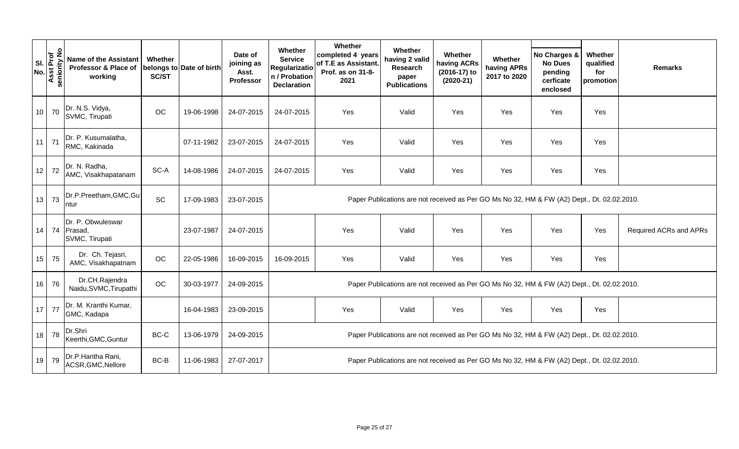|                    |              |                                                                 |                         |                          |                                             |                                                                                          | Whether                                                                |                                                                                             |                                                       |                                        |                                                                    |                                          |                        |
|--------------------|--------------|-----------------------------------------------------------------|-------------------------|--------------------------|---------------------------------------------|------------------------------------------------------------------------------------------|------------------------------------------------------------------------|---------------------------------------------------------------------------------------------|-------------------------------------------------------|----------------------------------------|--------------------------------------------------------------------|------------------------------------------|------------------------|
| SI.<br>No.<br>Asst | seniority No | <b>Name of the Assistant</b><br>Professor & Place of<br>working | Whether<br><b>SC/ST</b> | belongs to Date of birth | Date of<br>joining as<br>Asst.<br>Professor | Whether<br><b>Service</b><br><b>Regularizatio</b><br>n / Probation<br><b>Declaration</b> | completed 4 years<br>of T.E as Assistant.<br>Prof. as on 31-8-<br>2021 | Whether<br>having 2 valid<br>Research<br>paper<br><b>Publications</b>                       | Whether<br>having ACRs<br>(2016-17) to<br>$(2020-21)$ | Whether<br>having APRs<br>2017 to 2020 | No Charges &<br><b>No Dues</b><br>pending<br>cerficate<br>enclosed | Whether<br>qualified<br>for<br>promotion | <b>Remarks</b>         |
| 10 <sup>1</sup>    | 70           | Dr. N.S. Vidya,<br>SVMC, Tirupati                               | OC                      | 19-06-1998               | 24-07-2015                                  | 24-07-2015                                                                               | Yes                                                                    | Valid                                                                                       | Yes                                                   | Yes                                    | Yes                                                                | Yes                                      |                        |
| 11                 | 71           | Dr. P. Kusumalatha,<br>RMC, Kakinada                            |                         | 07-11-1982               | 23-07-2015                                  | 24-07-2015                                                                               | Yes                                                                    | Valid                                                                                       | Yes                                                   | Yes                                    | Yes                                                                | Yes                                      |                        |
| 12                 | 72           | Dr. N. Radha,<br>AMC, Visakhapatanam                            | SC-A                    | 14-08-1986               | 24-07-2015                                  | 24-07-2015                                                                               | Yes                                                                    | Valid                                                                                       | Yes                                                   | Yes                                    | Yes                                                                | Yes                                      |                        |
| 13                 | 73           | Dr.P.Preetham, GMC, Gu<br>ntur                                  | SC                      | 17-09-1983               | 23-07-2015                                  |                                                                                          |                                                                        | Paper Publications are not received as Per GO Ms No 32, HM & FW (A2) Dept., Dt. 02.02.2010. |                                                       |                                        |                                                                    |                                          |                        |
|                    |              | Dr. P. Obwuleswar<br>14 74 Prasad,<br>SVMC, Tirupati            |                         | 23-07-1987               | 24-07-2015                                  |                                                                                          | Yes                                                                    | Valid                                                                                       | Yes                                                   | Yes                                    | Yes                                                                | Yes                                      | Required ACRs and APRs |
| 15                 | 75           | Dr. Ch. Tejasri,<br>AMC, Visakhapatnam                          | OC                      | 22-05-1986               | 16-09-2015                                  | 16-09-2015                                                                               | Yes                                                                    | Valid                                                                                       | Yes                                                   | Yes                                    | Yes                                                                | Yes                                      |                        |
| 16                 | 76           | Dr.CH.Rajendra<br>Naidu, SVMC, Tirupathi                        | OC                      | 30-03-1977               | 24-09-2015                                  |                                                                                          |                                                                        | Paper Publications are not received as Per GO Ms No 32, HM & FW (A2) Dept., Dt. 02.02.2010. |                                                       |                                        |                                                                    |                                          |                        |
| 17                 | 77           | Dr. M. Kranthi Kumar,<br>GMC, Kadapa                            |                         | 16-04-1983               | 23-09-2015                                  |                                                                                          | Yes                                                                    | Valid                                                                                       | Yes                                                   | Yes                                    | Yes                                                                | Yes                                      |                        |
| 18                 | 78           | Dr.Shri<br>Keerthi, GMC, Guntur                                 | BC-C                    | 13-06-1979               | 24-09-2015                                  |                                                                                          |                                                                        | Paper Publications are not received as Per GO Ms No 32, HM & FW (A2) Dept., Dt. 02.02.2010. |                                                       |                                        |                                                                    |                                          |                        |
| 19                 | 79           | Dr.P.Haritha Rani,<br>ACSR, GMC, Nellore                        | BC-B                    | 11-06-1983               | 27-07-2017                                  |                                                                                          |                                                                        | Paper Publications are not received as Per GO Ms No 32, HM & FW (A2) Dept., Dt. 02.02.2010. |                                                       |                                        |                                                                    |                                          |                        |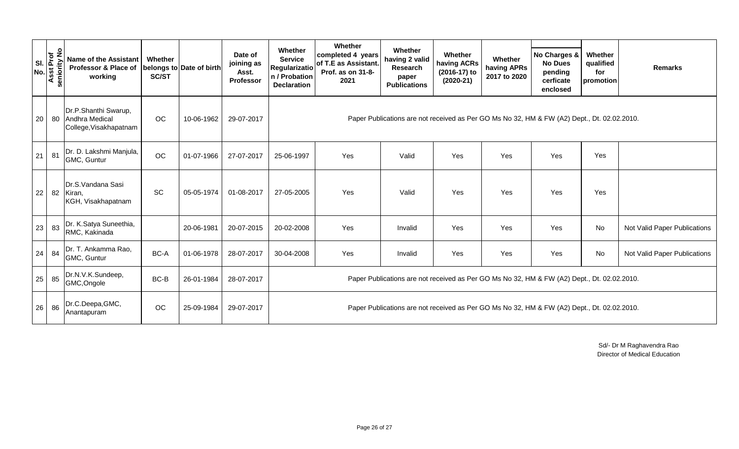| <b>SI</b><br>No. | $\circ$<br><b>Asst Prof</b> | <b>Name of the Assistant</b><br>Professor & Place of<br>working     | Whether<br>SC/ST | belongs to Date of birth | Date of<br>joining as<br>Asst.<br>Professor | Whether<br><b>Service</b><br>Regularizatio<br>n / Probation<br><b>Declaration</b> | Whether<br>completed 4 years<br>of T.E as Assistant.<br>Prof. as on 31-8-<br>2021 | Whether<br>having 2 valid<br>Research<br>paper<br><b>Publications</b>                       | Whether<br>having ACRs<br>(2016-17) to<br>$(2020-21)$ | Whether<br>having APRs<br>2017 to 2020 | No Charges &<br><b>No Dues</b><br>pending<br>cerficate<br>enclosed | Whether<br>qualified<br>for<br>promotion | <b>Remarks</b>               |
|------------------|-----------------------------|---------------------------------------------------------------------|------------------|--------------------------|---------------------------------------------|-----------------------------------------------------------------------------------|-----------------------------------------------------------------------------------|---------------------------------------------------------------------------------------------|-------------------------------------------------------|----------------------------------------|--------------------------------------------------------------------|------------------------------------------|------------------------------|
| 20               |                             | Dr.P.Shanthi Swarup,<br>80 Andhra Medical<br>College, Visakhapatnam | OC               | 10-06-1962               | 29-07-2017                                  |                                                                                   |                                                                                   | Paper Publications are not received as Per GO Ms No 32, HM & FW (A2) Dept., Dt. 02.02.2010. |                                                       |                                        |                                                                    |                                          |                              |
| 21               | 81                          | Dr. D. Lakshmi Manjula,<br>GMC, Guntur                              | OC               | 01-07-1966               | 27-07-2017                                  | 25-06-1997                                                                        | Yes                                                                               | Valid                                                                                       | Yes                                                   | Yes                                    | Yes                                                                | Yes                                      |                              |
| 22               | 82                          | Dr.S.Vandana Sasi<br>Kiran,<br>KGH, Visakhapatnam                   | SC               | 05-05-1974               | 01-08-2017                                  | 27-05-2005                                                                        | Yes                                                                               | Valid                                                                                       | Yes                                                   | Yes                                    | Yes                                                                | Yes                                      |                              |
| 23               | 83                          | Dr. K.Satya Suneethia,<br>RMC, Kakinada                             |                  | 20-06-1981               | 20-07-2015                                  | 20-02-2008                                                                        | Yes                                                                               | Invalid                                                                                     | Yes                                                   | Yes                                    | Yes                                                                | No                                       | Not Valid Paper Publications |
| 24               | 84                          | Dr. T. Ankamma Rao,<br>GMC, Guntur                                  | BC-A             | 01-06-1978               | 28-07-2017                                  | 30-04-2008                                                                        | Yes                                                                               | Invalid                                                                                     | Yes                                                   | Yes                                    | Yes                                                                | No                                       | Not Valid Paper Publications |
| 25               | 85                          | Dr.N.V.K.Sundeep,<br>GMC, Ongole                                    | BC-B             | 26-01-1984               | 28-07-2017                                  |                                                                                   |                                                                                   | Paper Publications are not received as Per GO Ms No 32, HM & FW (A2) Dept., Dt. 02.02.2010. |                                                       |                                        |                                                                    |                                          |                              |
| 26               | 86                          | Dr.C.Deepa, GMC,<br>Anantapuram                                     | OC               | 25-09-1984               | 29-07-2017                                  |                                                                                   |                                                                                   | Paper Publications are not received as Per GO Ms No 32, HM & FW (A2) Dept., Dt. 02.02.2010. |                                                       |                                        |                                                                    |                                          |                              |